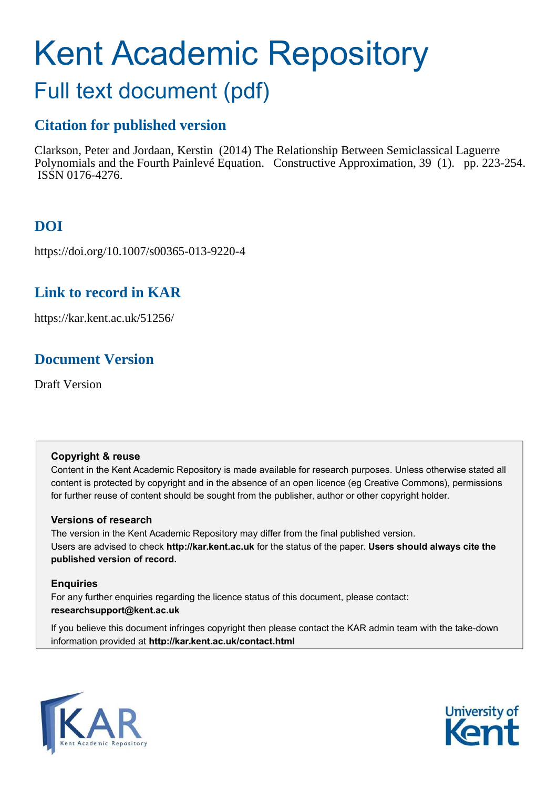# Kent Academic Repository

# Full text document (pdf)

# **Citation for published version**

Clarkson, Peter and Jordaan, Kerstin (2014) The Relationship Between Semiclassical Laguerre Polynomials and the Fourth Painlevé Equation. Constructive Approximation, 39 (1). pp. 223-254. ISSN 0176-4276.

# **DOI**

https://doi.org/10.1007/s00365-013-9220-4

# **Link to record in KAR**

https://kar.kent.ac.uk/51256/

# **Document Version**

Draft Version

# **Copyright & reuse**

Content in the Kent Academic Repository is made available for research purposes. Unless otherwise stated all content is protected by copyright and in the absence of an open licence (eg Creative Commons), permissions for further reuse of content should be sought from the publisher, author or other copyright holder.

# **Versions of research**

The version in the Kent Academic Repository may differ from the final published version. Users are advised to check **http://kar.kent.ac.uk** for the status of the paper. **Users should always cite the published version of record.**

# **Enquiries**

For any further enquiries regarding the licence status of this document, please contact: **researchsupport@kent.ac.uk**

If you believe this document infringes copyright then please contact the KAR admin team with the take-down information provided at **http://kar.kent.ac.uk/contact.html**



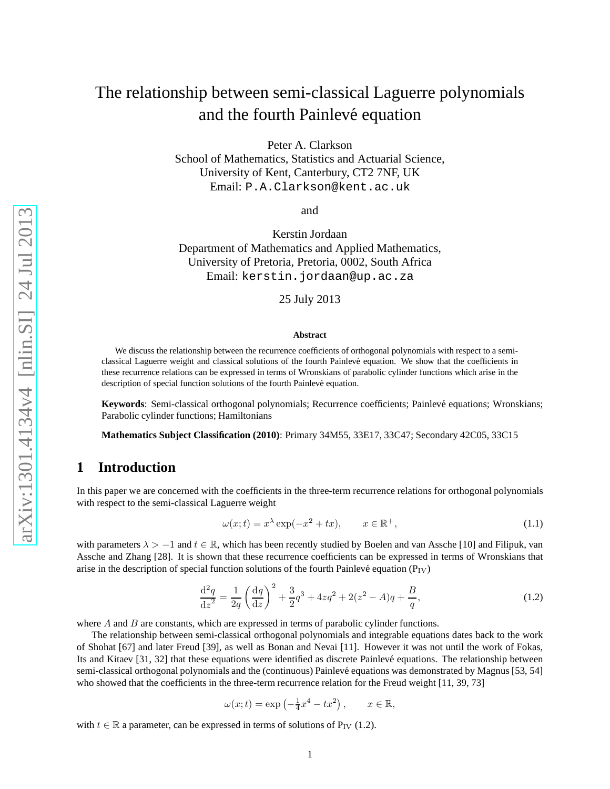Peter A. Clarkson

School of Mathematics, Statistics and Actuarial Science, University of Kent, Canterbury, CT2 7NF, UK Email: P.A.Clarkson@kent.ac.uk

and

Kerstin Jordaan Department of Mathematics and Applied Mathematics, University of Pretoria, Pretoria, 0002, South Africa Email: kerstin.jordaan@up.ac.za

25 July 2013

#### **Abstract**

We discuss the relationship between the recurrence coefficients of orthogonal polynomials with respect to a semiclassical Laguerre weight and classical solutions of the fourth Painlev´e equation. We show that the coefficients in these recurrence relations can be expressed in terms of Wronskians of parabolic cylinder functions which arise in the description of special function solutions of the fourth Painlevé equation.

Keywords: Semi-classical orthogonal polynomials; Recurrence coefficients; Painlevé equations; Wronskians; Parabolic cylinder functions; Hamiltonians

**Mathematics Subject Classification (2010)**: Primary 34M55, 33E17, 33C47; Secondary 42C05, 33C15

## **1 Introduction**

In this paper we are concerned with the coefficients in the three-term recurrence relations for orthogonal polynomials with respect to the semi-classical Laguerre weight

$$
\omega(x;t) = x^{\lambda} \exp(-x^2 + tx), \qquad x \in \mathbb{R}^+, \tag{1.1}
$$

with parameters  $\lambda > -1$  and  $t \in \mathbb{R}$ , which has been recently studied by Boelen and van Assche [10] and Filipuk, van Assche and Zhang [28]. It is shown that these recurrence coefficients can be expressed in terms of Wronskians that arise in the description of special function solutions of the fourth Painlevé equation ( $P_{\rm IV}$ )

$$
\frac{\mathrm{d}^2 q}{\mathrm{d}z^2} = \frac{1}{2q} \left( \frac{\mathrm{d}q}{\mathrm{d}z} \right)^2 + \frac{3}{2} q^3 + 4z q^2 + 2(z^2 - A)q + \frac{B}{q},\tag{1.2}
$$

where A and B are constants, which are expressed in terms of parabolic cylinder functions.

The relationship between semi-classical orthogonal polynomials and integrable equations dates back to the work of Shohat [67] and later Freud [39], as well as Bonan and Nevai [11]. However it was not until the work of Fokas, Its and Kitaev [31, 32] that these equations were identified as discrete Painlevé equations. The relationship between semi-classical orthogonal polynomials and the (continuous) Painlevé equations was demonstrated by Magnus [53, 54] who showed that the coefficients in the three-term recurrence relation for the Freud weight [11, 39, 73]

$$
\omega(x;t) = \exp\left(-\frac{1}{4}x^4 - tx^2\right), \qquad x \in \mathbb{R},
$$

with  $t \in \mathbb{R}$  a parameter, can be expressed in terms of solutions of P<sub>IV</sub> (1.2).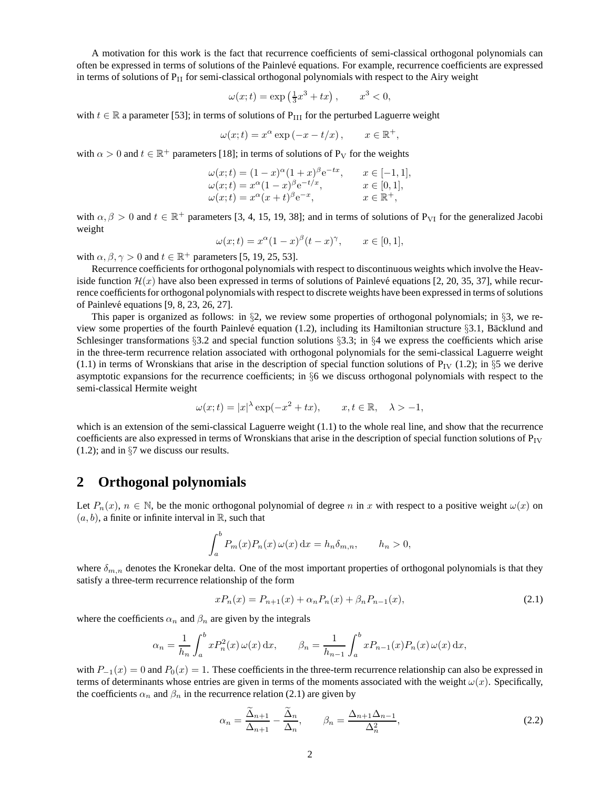A motivation for this work is the fact that recurrence coefficients of semi-classical orthogonal polynomials can often be expressed in terms of solutions of the Painlevé equations. For example, recurrence coefficients are expressed in terms of solutions of  $P_{II}$  for semi-classical orthogonal polynomials with respect to the Airy weight

$$
\omega(x;t) = \exp\left(\frac{1}{3}x^3 + tx\right), \qquad x^3 < 0,
$$

with  $t \in \mathbb{R}$  a parameter [53]; in terms of solutions of P<sub>III</sub> for the perturbed Laguerre weight

$$
\omega(x;t) = x^{\alpha} \exp(-x - t/x), \qquad x \in \mathbb{R}^+,
$$

with  $\alpha > 0$  and  $t \in \mathbb{R}^+$  parameters [18]; in terms of solutions of P<sub>V</sub> for the weights

$$
\omega(x;t) = (1-x)^{\alpha}(1+x)^{\beta}e^{-tx}, \qquad x \in [-1,1], \n\omega(x;t) = x^{\alpha}(1-x)^{\beta}e^{-t/x}, \qquad x \in [0,1], \n\omega(x;t) = x^{\alpha}(x+t)^{\beta}e^{-x}, \qquad x \in \mathbb{R}^+,
$$

with  $\alpha, \beta > 0$  and  $t \in \mathbb{R}^+$  parameters [3, 4, 15, 19, 38]; and in terms of solutions of P<sub>VI</sub> for the generalized Jacobi weight

$$
\omega(x;t) = x^{\alpha}(1-x)^{\beta}(t-x)^{\gamma}, \qquad x \in [0,1],
$$

with  $\alpha, \beta, \gamma > 0$  and  $t \in \mathbb{R}^+$  parameters [5, 19, 25, 53].

Recurrence coefficients for orthogonal polynomials with respect to discontinuous weights which involve the Heaviside function  $\mathcal{H}(x)$  have also been expressed in terms of solutions of Painlevé equations [2, 20, 35, 37], while recurrence coefficients for orthogonal polynomials with respect to discrete weights have been expressed in terms of solutions of Painlevé equations  $[9, 8, 23, 26, 27]$ .

This paper is organized as follows: in §2, we review some properties of orthogonal polynomials; in §3, we review some properties of the fourth Painlevé equation (1.2), including its Hamiltonian structure §3.1, Bäcklund and Schlesinger transformations §3.2 and special function solutions §3.3; in §4 we express the coefficients which arise in the three-term recurrence relation associated with orthogonal polynomials for the semi-classical Laguerre weight (1.1) in terms of Wronskians that arise in the description of special function solutions of  $P_{IV}$  (1.2); in §5 we derive asymptotic expansions for the recurrence coefficients; in §6 we discuss orthogonal polynomials with respect to the semi-classical Hermite weight

$$
\omega(x;t) = |x|^\lambda \exp(-x^2 + tx), \qquad x, t \in \mathbb{R}, \quad \lambda > -1,
$$

which is an extension of the semi-classical Laguerre weight  $(1.1)$  to the whole real line, and show that the recurrence coefficients are also expressed in terms of Wronskians that arise in the description of special function solutions of  $P_{IV}$ (1.2); and in §7 we discuss our results.

## **2 Orthogonal polynomials**

Let  $P_n(x)$ ,  $n \in \mathbb{N}$ , be the monic orthogonal polynomial of degree n in x with respect to a positive weight  $\omega(x)$  on  $(a, b)$ , a finite or infinite interval in R, such that

$$
\int_a^b P_m(x) P_n(x) \omega(x) dx = h_n \delta_{m,n}, \qquad h_n > 0,
$$

where  $\delta_{m,n}$  denotes the Kronekar delta. One of the most important properties of orthogonal polynomials is that they satisfy a three-term recurrence relationship of the form

$$
xP_n(x) = P_{n+1}(x) + \alpha_n P_n(x) + \beta_n P_{n-1}(x),\tag{2.1}
$$

where the coefficients  $\alpha_n$  and  $\beta_n$  are given by the integrals

$$
\alpha_n = \frac{1}{h_n} \int_a^b x P_n^2(x) \,\omega(x) \,\mathrm{d}x, \qquad \beta_n = \frac{1}{h_{n-1}} \int_a^b x P_{n-1}(x) P_n(x) \,\omega(x) \,\mathrm{d}x,
$$

with  $P_{-1}(x) = 0$  and  $P_0(x) = 1$ . These coefficients in the three-term recurrence relationship can also be expressed in terms of determinants whose entries are given in terms of the moments associated with the weight  $\omega(x)$ . Specifically, the coefficients  $\alpha_n$  and  $\beta_n$  in the recurrence relation (2.1) are given by

$$
\alpha_n = \frac{\Delta_{n+1}}{\Delta_{n+1}} - \frac{\Delta_n}{\Delta_n}, \qquad \beta_n = \frac{\Delta_{n+1}\Delta_{n-1}}{\Delta_n^2},\tag{2.2}
$$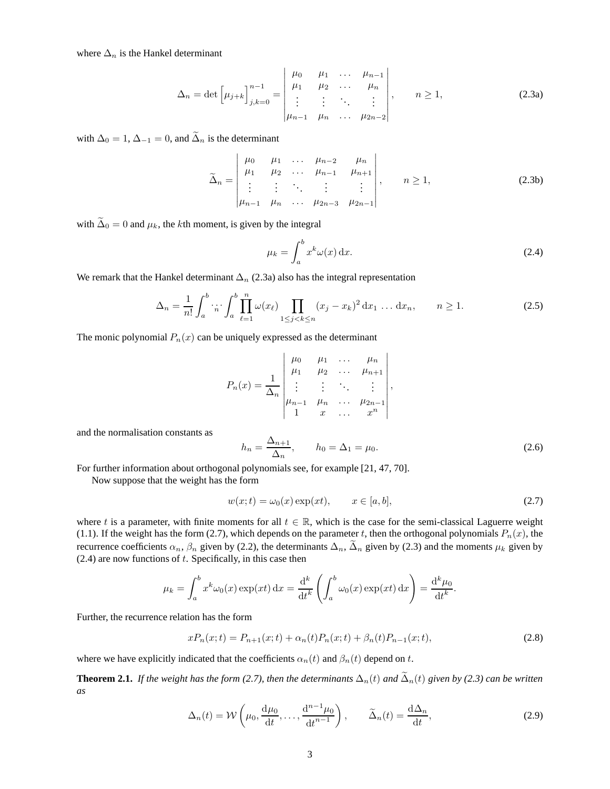where  $\Delta_n$  is the Hankel determinant

$$
\Delta_n = \det \left[ \mu_{j+k} \right]_{j,k=0}^{n-1} = \begin{vmatrix} \mu_0 & \mu_1 & \dots & \mu_{n-1} \\ \mu_1 & \mu_2 & \dots & \mu_n \\ \vdots & \vdots & \ddots & \vdots \\ \mu_{n-1} & \mu_n & \dots & \mu_{2n-2} \end{vmatrix}, \qquad n \ge 1,
$$
 (2.3a)

with  $\Delta_0 = 1$ ,  $\Delta_{-1} = 0$ , and  $\tilde{\Delta}_n$  is the determinant

$$
\widetilde{\Delta}_n = \begin{vmatrix} \mu_0 & \mu_1 & \dots & \mu_{n-2} & \mu_n \\ \mu_1 & \mu_2 & \dots & \mu_{n-1} & \mu_{n+1} \\ \vdots & \vdots & \ddots & \vdots & \vdots \\ \mu_{n-1} & \mu_n & \dots & \mu_{2n-3} & \mu_{2n-1} \end{vmatrix}, \quad n \ge 1,
$$
\n(2.3b)

with  $\tilde{\Delta}_0 = 0$  and  $\mu_k$ , the kth moment, is given by the integral

$$
\mu_k = \int_a^b x^k \omega(x) \, \mathrm{d}x. \tag{2.4}
$$

We remark that the Hankel determinant  $\Delta_n$  (2.3a) also has the integral representation

$$
\Delta_n = \frac{1}{n!} \int_a^b \cdots \int_a^b \prod_{\ell=1}^n \omega(x_\ell) \prod_{1 \le j < k \le n} (x_j - x_k)^2 \, \mathrm{d}x_1 \dots \mathrm{d}x_n, \qquad n \ge 1. \tag{2.5}
$$

The monic polynomial  $P_n(x)$  can be uniquely expressed as the determinant

$$
P_n(x) = \frac{1}{\Delta_n} \begin{vmatrix} \mu_0 & \mu_1 & \dots & \mu_n \\ \mu_1 & \mu_2 & \dots & \mu_{n+1} \\ \vdots & \vdots & \ddots & \vdots \\ \mu_{n-1} & \mu_n & \dots & \mu_{2n-1} \\ 1 & x & \dots & x^n \end{vmatrix},
$$

and the normalisation constants as

$$
h_n = \frac{\Delta_{n+1}}{\Delta_n}, \qquad h_0 = \Delta_1 = \mu_0.
$$
\n(2.6)

For further information about orthogonal polynomials see, for example [21, 47, 70].

Now suppose that the weight has the form

$$
w(x;t) = \omega_0(x) \exp(xt), \qquad x \in [a, b], \tag{2.7}
$$

.

where t is a parameter, with finite moments for all  $t \in \mathbb{R}$ , which is the case for the semi-classical Laguerre weight (1.1). If the weight has the form (2.7), which depends on the parameter t, then the orthogonal polynomials  $P_n(x)$ , the recurrence coefficients  $\alpha_n$ ,  $\beta_n$  given by (2.2), the determinants  $\Delta_n$ ,  $\Delta_n$  given by (2.3) and the moments  $\mu_k$  given by  $(2.4)$  are now functions of t. Specifically, in this case then

$$
\mu_k = \int_a^b x^k \omega_0(x) \exp(xt) dx = \frac{d^k}{dt^k} \left( \int_a^b \omega_0(x) \exp(xt) dx \right) = \frac{d^k \mu_0}{dt^k}
$$

Further, the recurrence relation has the form

$$
xP_n(x;t) = P_{n+1}(x;t) + \alpha_n(t)P_n(x;t) + \beta_n(t)P_{n-1}(x;t),
$$
\n(2.8)

where we have explicitly indicated that the coefficients  $\alpha_n(t)$  and  $\beta_n(t)$  depend on t.

**Theorem 2.1.** *If the weight has the form (2.7), then the determinants*  $\Delta_n(t)$  *and*  $\tilde{\Delta}_n(t)$  *given by (2.3) can be written as*

$$
\Delta_n(t) = \mathcal{W}\left(\mu_0, \frac{\mathrm{d}\mu_0}{\mathrm{d}t}, \dots, \frac{\mathrm{d}^{n-1}\mu_0}{\mathrm{d}t^{n-1}}\right), \qquad \widetilde{\Delta}_n(t) = \frac{\mathrm{d}\Delta_n}{\mathrm{d}t},\tag{2.9}
$$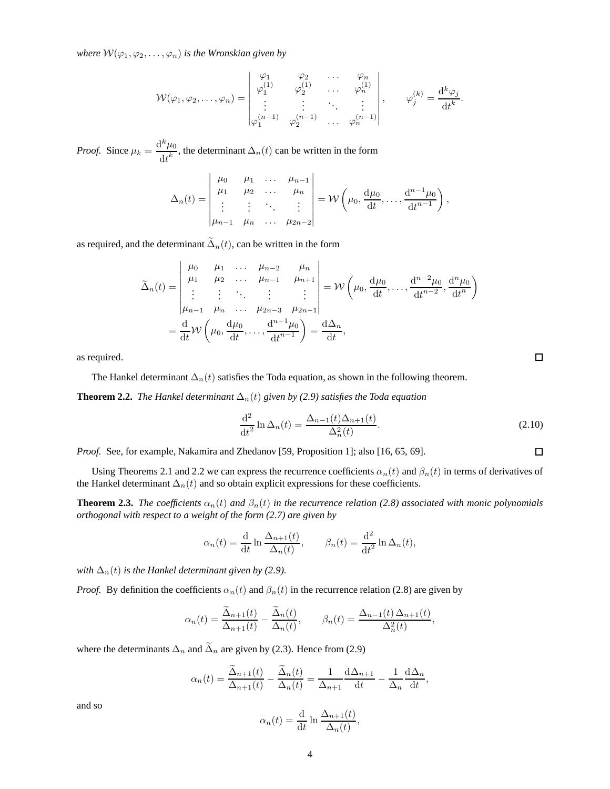*where*  $W(\varphi_1, \varphi_2, \dots, \varphi_n)$  *is the Wronskian given by* 

$$
\mathcal{W}(\varphi_1, \varphi_2, \dots, \varphi_n) = \begin{vmatrix} \varphi_1 & \varphi_2 & \dots & \varphi_n \\ \varphi_1^{(1)} & \varphi_2^{(1)} & \dots & \varphi_n^{(1)} \\ \vdots & \vdots & \ddots & \vdots \\ \varphi_1^{(n-1)} & \varphi_2^{(n-1)} & \dots & \varphi_n^{(n-1)} \end{vmatrix}, \qquad \varphi_j^{(k)} = \frac{\mathrm{d}^k \varphi_j}{\mathrm{d} t^k}.
$$

*Proof.* Since  $\mu_k = \frac{d^k \mu_0}{dk^k}$  $\frac{dP_{\text{tot}}}{dt}$ , the determinant  $\Delta_n(t)$  can be written in the form

$$
\Delta_n(t) = \begin{vmatrix} \mu_0 & \mu_1 & \dots & \mu_{n-1} \\ \mu_1 & \mu_2 & \dots & \mu_n \\ \vdots & \vdots & \ddots & \vdots \\ \mu_{n-1} & \mu_n & \dots & \mu_{2n-2} \end{vmatrix} = \mathcal{W}\left(\mu_0, \frac{d\mu_0}{dt}, \dots, \frac{d^{n-1}\mu_0}{dt^{n-1}}\right),
$$

as required, and the determinant  $\tilde{\Delta}_n(t)$ , can be written in the form

$$
\widetilde{\Delta}_n(t) = \begin{vmatrix}\n\mu_0 & \mu_1 & \dots & \mu_{n-2} & \mu_n \\
\mu_1 & \mu_2 & \dots & \mu_{n-1} & \mu_{n+1} \\
\vdots & \vdots & \ddots & \vdots & \vdots \\
\mu_{n-1} & \mu_n & \dots & \mu_{2n-3} & \mu_{2n-1}\n\end{vmatrix} = \mathcal{W}\left(\mu_0, \frac{d\mu_0}{dt}, \dots, \frac{d^{n-2}\mu_0}{dt^{n-2}}, \frac{d^n\mu_0}{dt^n}\right)
$$
\n
$$
= \frac{d}{dt}\mathcal{W}\left(\mu_0, \frac{d\mu_0}{dt}, \dots, \frac{d^{n-1}\mu_0}{dt^{n-1}}\right) = \frac{d\Delta_n}{dt},
$$

as required.

The Hankel determinant  $\Delta_n(t)$  satisfies the Toda equation, as shown in the following theorem.

**Theorem 2.2.** *The Hankel determinant*  $\Delta_n(t)$  *given by (2.9) satisfies the Toda equation* 

$$
\frac{\mathrm{d}^2}{\mathrm{d}t^2} \ln \Delta_n(t) = \frac{\Delta_{n-1}(t)\Delta_{n+1}(t)}{\Delta_n^2(t)}.
$$
\n(2.10)

*Proof.* See, for example, Nakamira and Zhedanov [59, Proposition 1]; also [16, 65, 69].

Using Theorems 2.1 and 2.2 we can express the recurrence coefficients  $\alpha_n(t)$  and  $\beta_n(t)$  in terms of derivatives of the Hankel determinant  $\Delta_n(t)$  and so obtain explicit expressions for these coefficients.

**Theorem 2.3.** *The coefficients*  $\alpha_n(t)$  *and*  $\beta_n(t)$  *in the recurrence relation* (2.8) associated with monic polynomials *orthogonal with respect to a weight of the form (2.7) are given by*

$$
\alpha_n(t) = \frac{\mathrm{d}}{\mathrm{d}t} \ln \frac{\Delta_{n+1}(t)}{\Delta_n(t)}, \qquad \beta_n(t) = \frac{\mathrm{d}^2}{\mathrm{d}t^2} \ln \Delta_n(t),
$$

*with*  $\Delta_n(t)$  *is the Hankel determinant given by (2.9).* 

*Proof.* By definition the coefficients  $\alpha_n(t)$  and  $\beta_n(t)$  in the recurrence relation (2.8) are given by

$$
\alpha_n(t) = \frac{\tilde{\Delta}_{n+1}(t)}{\Delta_{n+1}(t)} - \frac{\tilde{\Delta}_n(t)}{\Delta_n(t)}, \qquad \beta_n(t) = \frac{\Delta_{n-1}(t)\Delta_{n+1}(t)}{\Delta_n^2(t)},
$$

where the determinants  $\Delta_n$  and  $\tilde{\Delta}_n$  are given by (2.3). Hence from (2.9)

$$
\alpha_n(t) = \frac{\tilde{\Delta}_{n+1}(t)}{\Delta_{n+1}(t)} - \frac{\tilde{\Delta}_n(t)}{\Delta_n(t)} = \frac{1}{\Delta_{n+1}} \frac{\mathrm{d}\Delta_{n+1}}{\mathrm{d}t} - \frac{1}{\Delta_n} \frac{\mathrm{d}\Delta_n}{\mathrm{d}t},
$$

and so

$$
\alpha_n(t) = \frac{\mathrm{d}}{\mathrm{d}t} \ln \frac{\Delta_{n+1}(t)}{\Delta_n(t)},
$$

 $\Box$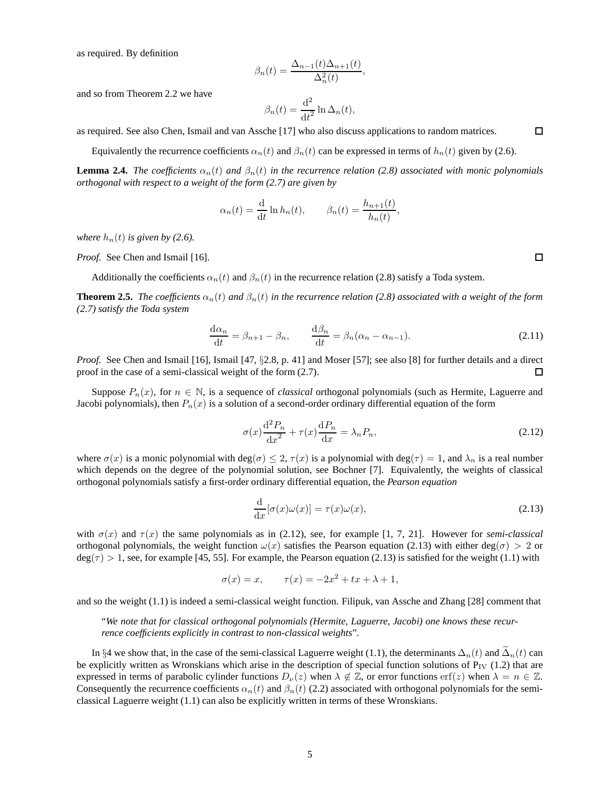as required. By definition

$$
\beta_n(t) = \frac{\Delta_{n-1}(t)\Delta_{n+1}(t)}{\Delta_n^2(t)},
$$

and so from Theorem 2.2 we have

$$
\beta_n(t) = \frac{\mathrm{d}^2}{\mathrm{d}t^2} \ln \Delta_n(t),
$$

as required. See also Chen, Ismail and van Assche [17] who also discuss applications to random matrices.

Equivalently the recurrence coefficients  $\alpha_n(t)$  and  $\beta_n(t)$  can be expressed in terms of  $h_n(t)$  given by (2.6).

**Lemma 2.4.** *The coefficients*  $\alpha_n(t)$  *and*  $\beta_n(t)$  *in the recurrence relation* (2.8) associated with monic polynomials *orthogonal with respect to a weight of the form (2.7) are given by*

$$
\alpha_n(t) = \frac{\mathrm{d}}{\mathrm{d}t} \ln h_n(t), \qquad \beta_n(t) = \frac{h_{n+1}(t)}{h_n(t)},
$$

*where*  $h_n(t)$  *is given by (2.6).* 

*Proof.* See Chen and Ismail [16].

Additionally the coefficients  $\alpha_n(t)$  and  $\beta_n(t)$  in the recurrence relation (2.8) satisfy a Toda system.

**Theorem 2.5.** *The coefficients*  $\alpha_n(t)$  *and*  $\beta_n(t)$  *in the recurrence relation* (2.8) associated with a weight of the form *(2.7) satisfy the Toda system*

$$
\frac{\mathrm{d}\alpha_n}{\mathrm{d}t} = \beta_{n+1} - \beta_n, \qquad \frac{\mathrm{d}\beta_n}{\mathrm{d}t} = \beta_n(\alpha_n - \alpha_{n-1}).\tag{2.11}
$$

*Proof.* See Chen and Ismail [16], Ismail [47, §2.8, p. 41] and Moser [57]; see also [8] for further details and a direct proof in the case of a semi-classical weight of the form  $(2.7)$ . proof in the case of a semi-classical weight of the form (2.7).

Suppose  $P_n(x)$ , for  $n \in \mathbb{N}$ , is a sequence of *classical* orthogonal polynomials (such as Hermite, Laguerre and Jacobi polynomials), then  $P_n(x)$  is a solution of a second-order ordinary differential equation of the form

$$
\sigma(x)\frac{\mathrm{d}^2 P_n}{\mathrm{d}x^2} + \tau(x)\frac{\mathrm{d}P_n}{\mathrm{d}x} = \lambda_n P_n,\tag{2.12}
$$

where  $\sigma(x)$  is a monic polynomial with deg( $\sigma$ )  $\leq 2$ ,  $\tau(x)$  is a polynomial with deg( $\tau$ ) = 1, and  $\lambda_n$  is a real number which depends on the degree of the polynomial solution, see Bochner [7]. Equivalently, the weights of classical orthogonal polynomials satisfy a first-order ordinary differential equation, the *Pearson equation*

$$
\frac{\mathrm{d}}{\mathrm{d}x}[\sigma(x)\omega(x)] = \tau(x)\omega(x),\tag{2.13}
$$

with  $\sigma(x)$  and  $\tau(x)$  the same polynomials as in (2.12), see, for example [1, 7, 21]. However for *semi-classical* orthogonal polynomials, the weight function  $\omega(x)$  satisfies the Pearson equation (2.13) with either deg( $\sigma$ ) > 2 or  $deg(\tau) > 1$ , see, for example [45, 55]. For example, the Pearson equation (2.13) is satisfied for the weight (1.1) with

$$
\sigma(x) = x, \qquad \tau(x) = -2x^2 + tx + \lambda + 1,
$$

and so the weight (1.1) is indeed a semi-classical weight function. Filipuk, van Assche and Zhang [28] comment that

"*We note that for classical orthogonal polynomials (Hermite, Laguerre, Jacobi) one knows these recurrence coefficients explicitly in contrast to non-classical weights*".

In §4 we show that, in the case of the semi-classical Laguerre weight (1.1), the determinants  $\Delta_n(t)$  and  $\Delta_n(t)$  can be explicitly written as Wronskians which arise in the description of special function solutions of  $P_{IV}$  (1.2) that are expressed in terms of parabolic cylinder functions  $D_{\nu}(z)$  when  $\lambda \notin \mathbb{Z}$ , or error functions erf(z) when  $\lambda = n \in \mathbb{Z}$ . Consequently the recurrence coefficients  $\alpha_n(t)$  and  $\beta_n(t)$  (2.2) associated with orthogonal polynomials for the semiclassical Laguerre weight (1.1) can also be explicitly written in terms of these Wronskians.

 $\Box$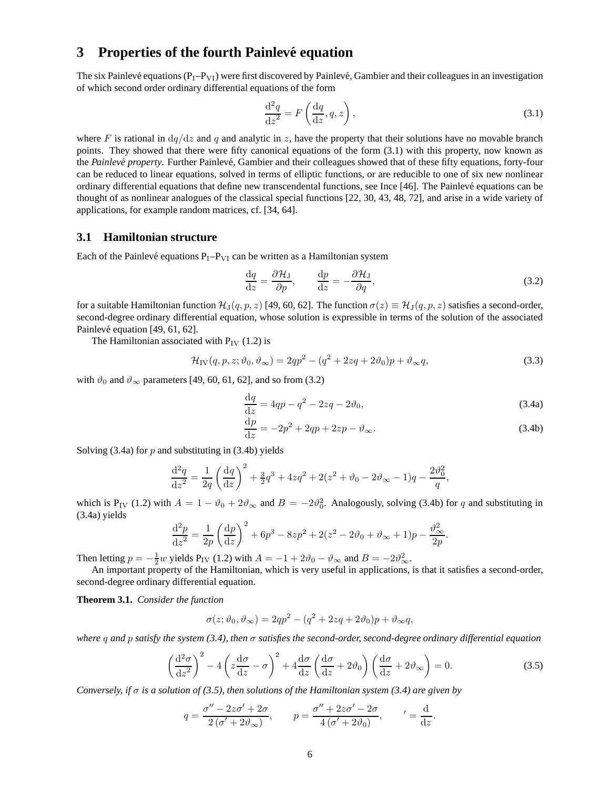# **3** Properties of the fourth Painlevé equation

The six Painlevé equations  $(P_1-P_{VI})$  were first discovered by Painlevé, Gambier and their colleagues in an investigation of which second order ordinary differential equations of the form

$$
\frac{\mathrm{d}^2 q}{\mathrm{d}z^2} = F\left(\frac{\mathrm{d}q}{\mathrm{d}z}, q, z\right),\tag{3.1}
$$

where F is rational in  $dq/dz$  and q and analytic in z, have the property that their solutions have no movable branch points. They showed that there were fifty canonical equations of the form (3.1) with this property, now known as the *Painlevé property*. Further Painlevé, Gambier and their colleagues showed that of these fifty equations, forty-four can be reduced to linear equations, solved in terms of elliptic functions, or are reducible to one of six new nonlinear ordinary differential equations that define new transcendental functions, see Ince [46]. The Painlev´e equations can be thought of as nonlinear analogues of the classical special functions [22, 30, 43, 48, 72], and arise in a wide variety of applications, for example random matrices, cf. [34, 64].

#### **3.1 Hamiltonian structure**

Each of the Painlevé equations  $P_I-P_{VI}$  can be written as a Hamiltonian system

$$
\frac{\mathrm{d}q}{\mathrm{d}z} = \frac{\partial \mathcal{H}_{\mathrm{J}}}{\partial p}, \qquad \frac{\mathrm{d}p}{\mathrm{d}z} = -\frac{\partial \mathcal{H}_{\mathrm{J}}}{\partial q},\tag{3.2}
$$

for a suitable Hamiltonian function  $\mathcal{H}_{J}(q,p,z)$  [49, 60, 62]. The function  $\sigma(z) \equiv \mathcal{H}_{J}(q,p,z)$  satisfies a second-order, second-degree ordinary differential equation, whose solution is expressible in terms of the solution of the associated Painlevé equation [49, 61, 62].

The Hamiltonian associated with  $P_{IV}$  (1.2) is

$$
\mathcal{H}_{\rm IV}(q, p, z; \vartheta_0, \vartheta_\infty) = 2qp^2 - (q^2 + 2zq + 2\vartheta_0)p + \vartheta_\infty q,\tag{3.3}
$$

with  $\vartheta_0$  and  $\vartheta_{\infty}$  parameters [49, 60, 61, 62], and so from (3.2)

$$
\frac{\mathrm{d}q}{\mathrm{d}z} = 4qp - q^2 - 2zq - 2\vartheta_0,\tag{3.4a}
$$

$$
\frac{\mathrm{d}p}{\mathrm{d}z} = -2p^2 + 2qp + 2zp - \vartheta_{\infty}.\tag{3.4b}
$$

Solving  $(3.4a)$  for p and substituting in  $(3.4b)$  yields

$$
\frac{\mathrm{d}^2 q}{\mathrm{d}z^2} = \frac{1}{2q} \left( \frac{\mathrm{d}q}{\mathrm{d}z} \right)^2 + \frac{3}{2}q^3 + 4zq^2 + 2(z^2 + \vartheta_0 - 2\vartheta_\infty - 1)q - \frac{2\vartheta_0^2}{q},
$$

which is P<sub>IV</sub> (1.2) with  $A = 1 - \vartheta_0 + 2\vartheta_{\infty}$  and  $B = -2\vartheta_0^2$ . Analogously, solving (3.4b) for q and substituting in (3.4a) yields

$$
\frac{d^2p}{dz^2} = \frac{1}{2p} \left(\frac{dp}{dz}\right)^2 + 6p^3 - 8zp^2 + 2(z^2 - 2\vartheta_0 + \vartheta_\infty + 1)p - \frac{\vartheta_\infty^2}{2p}.
$$

Then letting  $p = -\frac{1}{2}w$  yields  $P_{IV}$  (1.2) with  $A = -1 + 2\vartheta_0 - \vartheta_{\infty}$  and  $B = -2\vartheta_{\infty}^2$ .

An important property of the Hamiltonian, which is very useful in applications, is that it satisfies a second-order, second-degree ordinary differential equation.

**Theorem 3.1.** *Consider the function*

$$
\sigma(z; \vartheta_0, \vartheta_\infty) = 2qp^2 - (q^2 + 2zq + 2\vartheta_0)p + \vartheta_\infty q,
$$

*where* q *and* p *satisfy the system (3.4), then* σ *satisfies the second-order, second-degree ordinary differential equation*

$$
\left(\frac{\mathrm{d}^2\sigma}{\mathrm{d}z^2}\right)^2 - 4\left(z\frac{\mathrm{d}\sigma}{\mathrm{d}z} - \sigma\right)^2 + 4\frac{\mathrm{d}\sigma}{\mathrm{d}z}\left(\frac{\mathrm{d}\sigma}{\mathrm{d}z} + 2\vartheta_0\right)\left(\frac{\mathrm{d}\sigma}{\mathrm{d}z} + 2\vartheta_\infty\right) = 0.\tag{3.5}
$$

*Conversely, if* σ *is a solution of (3.5), then solutions of the Hamiltonian system (3.4) are given by*

$$
q = \frac{\sigma'' - 2z\sigma' + 2\sigma}{2(\sigma' + 2\vartheta_{\infty})}, \qquad p = \frac{\sigma'' + 2z\sigma' - 2\sigma}{4(\sigma' + 2\vartheta_{0})}, \qquad' = \frac{d}{dz}.
$$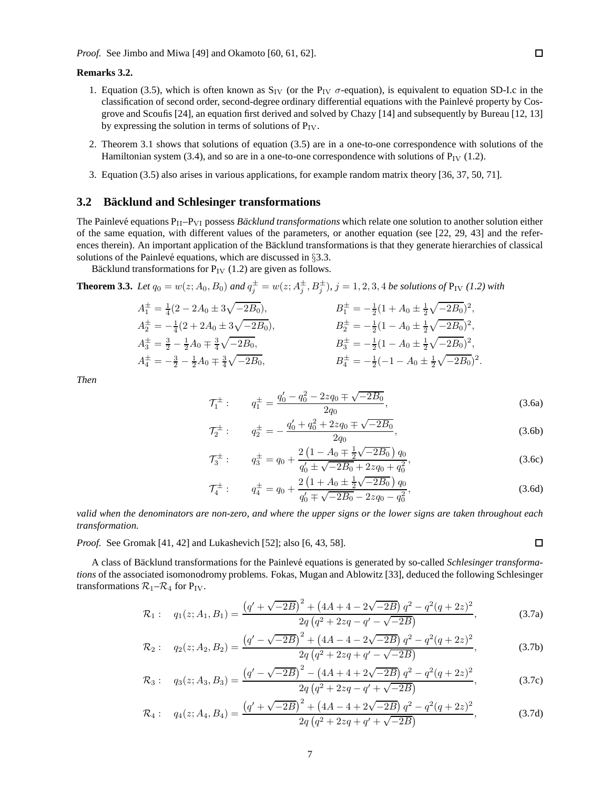#### **Remarks 3.2.**

- 1. Equation (3.5), which is often known as  $S_{IV}$  (or the  $P_{IV}$   $\sigma$ -equation), is equivalent to equation SD-I.c in the classification of second order, second-degree ordinary differential equations with the Painlev´e property by Cosgrove and Scoufis [24], an equation first derived and solved by Chazy [14] and subsequently by Bureau [12, 13] by expressing the solution in terms of solutions of  $P_{IV}$ .
- 2. Theorem 3.1 shows that solutions of equation (3.5) are in a one-to-one correspondence with solutions of the Hamiltonian system (3.4), and so are in a one-to-one correspondence with solutions of  $P_{IV}$  (1.2).
- 3. Equation (3.5) also arises in various applications, for example random matrix theory [36, 37, 50, 71].

#### **3.2** Bäcklund and Schlesinger transformations

The Painlevé equations  $P_{II}-P_{VI}$  possess *Backlund transformations* which relate one solution to another solution either of the same equation, with different values of the parameters, or another equation (see [22, 29, 43] and the references therein). An important application of the Bäcklund transformations is that they generate hierarchies of classical solutions of the Painlevé equations, which are discussed in  $\S 3.3$ .

Bäcklund transformations for  $P_{IV}$  (1.2) are given as follows.

**Theorem 3.3.** Let  $q_0 = w(z; A_0, B_0)$  and  $q_j^{\pm} = w(z; A_j^{\pm}, B_j^{\pm})$ ,  $j = 1, 2, 3, 4$  be solutions of  $P_{IV}$  (1.2) with

$$
A_1^{\pm} = \frac{1}{4}(2 - 2A_0 \pm 3\sqrt{-2B_0}),
$$
  
\n
$$
A_2^{\pm} = -\frac{1}{4}(2 + 2A_0 \pm 3\sqrt{-2B_0}),
$$
  
\n
$$
A_3^{\pm} = \frac{3}{2} - \frac{1}{2}A_0 \mp \frac{3}{4}\sqrt{-2B_0},
$$
  
\n
$$
B_1^{\pm} = -\frac{1}{2}(1 + A_0 \pm \frac{1}{2}\sqrt{-2B_0})^2,
$$
  
\n
$$
B_2^{\pm} = -\frac{1}{2}(1 - A_0 \pm \frac{1}{2}\sqrt{-2B_0})^2,
$$
  
\n
$$
B_3^{\pm} = -\frac{1}{2}(1 - A_0 \pm \frac{1}{2}\sqrt{-2B_0})^2,
$$
  
\n
$$
B_4^{\pm} = -\frac{1}{2}(-1 - A_0 \pm \frac{1}{2}\sqrt{-2B_0})^2.
$$

*Then*

$$
\mathcal{T}_1^{\pm} : q_1^{\pm} = \frac{q_0' - q_0^2 - 2zq_0 \mp \sqrt{-2B_0}}{2q_0},
$$
\n(3.6a)

$$
\mathcal{T}_2^{\pm} : \qquad q_2^{\pm} = -\frac{q_0' + q_0^2 + 2zq_0 \mp \sqrt{-2B_0}}{2q_0},\tag{3.6b}
$$

$$
\mathcal{T}_3^{\pm} : \qquad q_3^{\pm} = q_0 + \frac{2\left(1 - A_0 \mp \frac{1}{2}\sqrt{-2B_0}\right)q_0}{q'_0 \pm \sqrt{-2B_0} + 2zq_0 + q_0^2},\tag{3.6c}
$$

$$
\mathcal{T}_4^{\pm} : \qquad q_4^{\pm} = q_0 + \frac{2\left(1 + A_0 \pm \frac{1}{2}\sqrt{-2B_0}\right)q_0}{q'_0 \mp \sqrt{-2B_0} - 2zq_0 - q_0^2},\tag{3.6d}
$$

*valid when the denominators are non-zero, and where the upper signs or the lower signs are taken throughout each transformation.*

*Proof.* See Gromak [41, 42] and Lukashevich [52]; also [6, 43, 58].

A class of Bäcklund transformations for the Painlevé equations is generated by so-called *Schlesinger transformations* of the associated isomonodromy problems. Fokas, Mugan and Ablowitz [33], deduced the following Schlesinger transformations 
$$
\mathcal{R}_1 - \mathcal{R}_4
$$
 for  $P_{\rm IV}$ .

$$
\mathcal{R}_1: \quad q_1(z; A_1, B_1) = \frac{\left(q' + \sqrt{-2B}\right)^2 + \left(4A + 4 - 2\sqrt{-2B}\right)q^2 - q^2(q + 2z)^2}{2q\left(q^2 + 2zq - q' - \sqrt{-2B}\right)},\tag{3.7a}
$$

$$
\mathcal{R}_2: \quad q_2(z; A_2, B_2) = \frac{\left(q' - \sqrt{-2B}\right)^2 + \left(4A - 4 - 2\sqrt{-2B}\right)q^2 - q^2(q + 2z)^2}{2q\left(q^2 + 2zq + q' - \sqrt{-2B}\right)},\tag{3.7b}
$$

$$
\mathcal{R}_3: \quad q_3(z; A_3, B_3) = \frac{\left(q' - \sqrt{-2B}\right)^2 - \left(4A + 4 + 2\sqrt{-2B}\right)q^2 - q^2(q + 2z)^2}{2q\left(q^2 + 2zq - q' + \sqrt{-2B}\right)},\tag{3.7c}
$$

$$
\mathcal{R}_4: \quad q_4(z; A_4, B_4) = \frac{\left(q' + \sqrt{-2B}\right)^2 + \left(4A - 4 + 2\sqrt{-2B}\right)q^2 - q^2(q + 2z)^2}{2q\left(q^2 + 2zq + q' + \sqrt{-2B}\right)},\tag{3.7d}
$$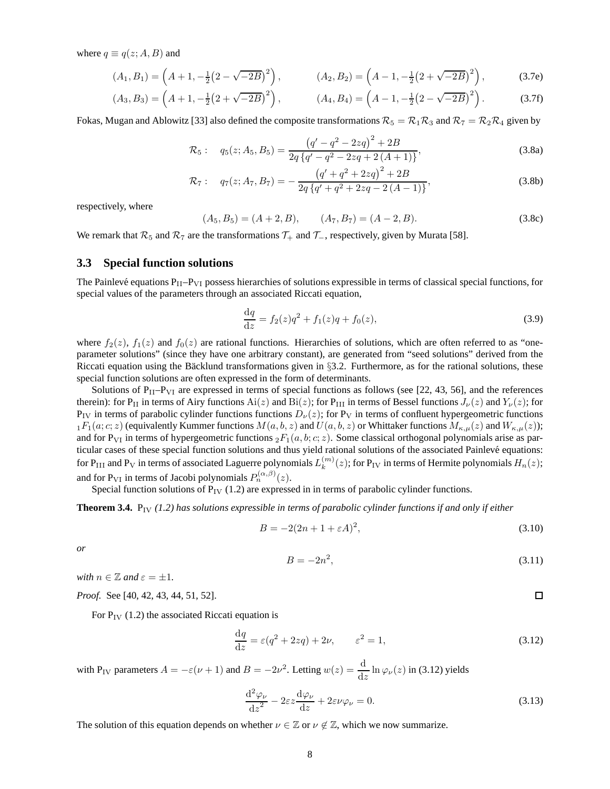where  $q \equiv q(z; A, B)$  and

$$
(A_1, B_1) = \left(A + 1, -\frac{1}{2}(2 - \sqrt{-2B})^2\right), \qquad (A_2, B_2) = \left(A - 1, -\frac{1}{2}(2 + \sqrt{-2B})^2\right), \qquad (3.7e)
$$

$$
(A_3, B_3) = \left(A + 1, -\frac{1}{2}(2 + \sqrt{-2B})^2\right), \qquad (A_4, B_4) = \left(A - 1, -\frac{1}{2}(2 - \sqrt{-2B})^2\right). \tag{3.7f}
$$

Fokas, Mugan and Ablowitz [33] also defined the composite transformations  $\mathcal{R}_5 = \mathcal{R}_1\mathcal{R}_3$  and  $\mathcal{R}_7 = \mathcal{R}_2\mathcal{R}_4$  given by

$$
\mathcal{R}_5: \quad q_5(z; A_5, B_5) = \frac{\left(q' - q^2 - 2zq\right)^2 + 2B}{2q\left\{q' - q^2 - 2zq + 2\left(A + 1\right)\right\}},\tag{3.8a}
$$

$$
\mathcal{R}_7: \quad q_7(z; A_7, B_7) = -\frac{\left(q' + q^2 + 2zq\right)^2 + 2B}{2q\left\{q' + q^2 + 2zq - 2\left(A - 1\right)\right\}},\tag{3.8b}
$$

respectively, where

$$
(A_5, B_5) = (A + 2, B), \qquad (A_7, B_7) = (A - 2, B). \tag{3.8c}
$$

We remark that  $\mathcal{R}_5$  and  $\mathcal{R}_7$  are the transformations  $\mathcal{T}_+$  and  $\mathcal{T}_-$ , respectively, given by Murata [58].

### **3.3 Special function solutions**

The Painlevé equations  $P_{II}-P_{VI}$  possess hierarchies of solutions expressible in terms of classical special functions, for special values of the parameters through an associated Riccati equation,

$$
\frac{\mathrm{d}q}{\mathrm{d}z} = f_2(z)q^2 + f_1(z)q + f_0(z),\tag{3.9}
$$

where  $f_2(z)$ ,  $f_1(z)$  and  $f_0(z)$  are rational functions. Hierarchies of solutions, which are often referred to as "oneparameter solutions" (since they have one arbitrary constant), are generated from "seed solutions" derived from the Riccati equation using the Bäcklund transformations given in  $§3.2$ . Furthermore, as for the rational solutions, these special function solutions are often expressed in the form of determinants.

Solutions of  $P_{II}-P_{VI}$  are expressed in terms of special functions as follows (see [22, 43, 56], and the references therein): for P<sub>II</sub> in terms of Airy functions Ai(z) and Bi(z); for P<sub>III</sub> in terms of Bessel functions  $J_{\nu}(z)$  and  $Y_{\nu}(z)$ ; for  $P_{IV}$  in terms of parabolic cylinder functions functions  $D_{\nu}(z)$ ; for  $P_{V}$  in terms of confluent hypergeometric functions  $_1F_1(a;c;z)$  (equivalently Kummer functions  $M(a,b,z)$  and  $U(a,b,z)$  or Whittaker functions  $M_{\kappa,\mu}(z)$  and  $W_{\kappa,\mu}(z)$ ); and for P<sub>VI</sub> in terms of hypergeometric functions  ${}_2F_1(a, b; c; z)$ . Some classical orthogonal polynomials arise as particular cases of these special function solutions and thus yield rational solutions of the associated Painlevé equations: for P $_{\rm III}$  and P $_{\rm V}$  in terms of associated Laguerre polynomials  $L_k^{(m)}$  $\binom{m}{k}(z)$ ; for P<sub>IV</sub> in terms of Hermite polynomials  $H_n(z)$ ; and for P<sub>VI</sub> in terms of Jacobi polynomials  $P_n^{(\alpha,\beta)}(z)$ .

Special function solutions of  $P_{IV}$  (1.2) are expressed in in terms of parabolic cylinder functions.

**Theorem 3.4.** P<sub>IV</sub> (1.2) has solutions expressible in terms of parabolic cylinder functions if and only if either

$$
B = -2(2n + 1 + \varepsilon A)^2,
$$
\n(3.10)

*or*

$$
B = -2n^2,\tag{3.11}
$$

*with*  $n \in \mathbb{Z}$  *and*  $\varepsilon = \pm 1$ *.* 

*Proof.* See [40, 42, 43, 44, 51, 52].

For  $P_{IV}$  (1.2) the associated Riccati equation is

$$
\frac{\mathrm{d}q}{\mathrm{d}z} = \varepsilon(q^2 + 2zq) + 2\nu, \qquad \varepsilon^2 = 1,\tag{3.12}
$$

with P<sub>IV</sub> parameters  $A = -\varepsilon(\nu + 1)$  and  $B = -2\nu^2$ . Letting  $w(z) = \frac{d}{dz} \ln \varphi_{\nu}(z)$  in (3.12) yields

$$
\frac{\mathrm{d}^2 \varphi_{\nu}}{\mathrm{d}z^2} - 2\varepsilon z \frac{\mathrm{d}\varphi_{\nu}}{\mathrm{d}z} + 2\varepsilon \nu \varphi_{\nu} = 0. \tag{3.13}
$$

The solution of this equation depends on whether  $\nu \in \mathbb{Z}$  or  $\nu \notin \mathbb{Z}$ , which we now summarize.

口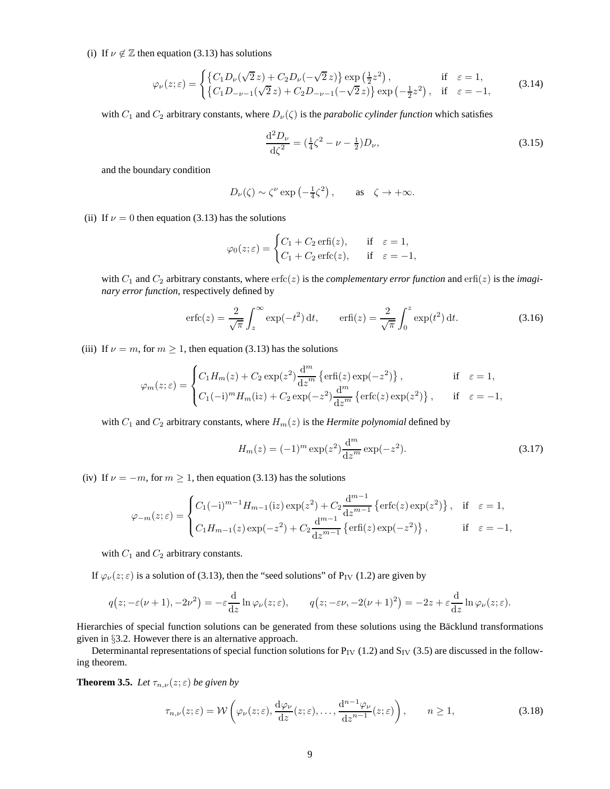(i) If  $\nu \notin \mathbb{Z}$  then equation (3.13) has solutions

$$
\varphi_{\nu}(z;\varepsilon) = \begin{cases} \left\{ C_1 D_{\nu}(\sqrt{2}z) + C_2 D_{\nu}(-\sqrt{2}z) \right\} \exp\left(\frac{1}{2}z^2\right), & \text{if } \varepsilon = 1, \\ \left\{ C_1 D_{-\nu-1}(\sqrt{2}z) + C_2 D_{-\nu-1}(-\sqrt{2}z) \right\} \exp\left(-\frac{1}{2}z^2\right), & \text{if } \varepsilon = -1, \end{cases}
$$
(3.14)

with  $C_1$  and  $C_2$  arbitrary constants, where  $D_\nu(\zeta)$  is the *parabolic cylinder function* which satisfies

$$
\frac{\mathrm{d}^2 D_{\nu}}{\mathrm{d}\zeta^2} = \left(\frac{1}{4}\zeta^2 - \nu - \frac{1}{2}\right)D_{\nu},\tag{3.15}
$$

and the boundary condition

$$
D_{\nu}(\zeta) \sim \zeta^{\nu} \exp\left(-\frac{1}{4}\zeta^2\right), \quad \text{as} \quad \zeta \to +\infty.
$$

(ii) If  $\nu = 0$  then equation (3.13) has the solutions

$$
\varphi_0(z;\varepsilon) = \begin{cases} C_1 + C_2 \operatorname{erfi}(z), & \text{if } \varepsilon = 1, \\ C_1 + C_2 \operatorname{erfc}(z), & \text{if } \varepsilon = -1, \end{cases}
$$

with  $C_1$  and  $C_2$  arbitrary constants, where  $erfc(z)$  is the *complementary error function* and  $erfi(z)$  is the *imaginary error function*, respectively defined by

$$
\operatorname{erfc}(z) = \frac{2}{\sqrt{\pi}} \int_z^{\infty} \exp(-t^2) dt, \qquad \operatorname{erfi}(z) = \frac{2}{\sqrt{\pi}} \int_0^z \exp(t^2) dt. \tag{3.16}
$$

(iii) If  $\nu = m$ , for  $m \ge 1$ , then equation (3.13) has the solutions

$$
\varphi_m(z;\varepsilon) = \begin{cases} C_1 H_m(z) + C_2 \exp(z^2) \frac{d^m}{dz^m} \left\{ \text{erfi}(z) \exp(-z^2) \right\}, & \text{if } \varepsilon = 1, \\ C_1 (-i)^m H_m(iz) + C_2 \exp(-z^2) \frac{d^m}{dz^m} \left\{ \text{erfc}(z) \exp(z^2) \right\}, & \text{if } \varepsilon = -1, \end{cases}
$$

with  $C_1$  and  $C_2$  arbitrary constants, where  $H_m(z)$  is the *Hermite polynomial* defined by

$$
H_m(z) = (-1)^m \exp(z^2) \frac{d^m}{dz^m} \exp(-z^2).
$$
 (3.17)

(iv) If  $\nu = -m$ , for  $m \ge 1$ , then equation (3.13) has the solutions

$$
\varphi_{-m}(z;\varepsilon) = \begin{cases} C_1(-i)^{m-1} H_{m-1}(iz) \exp(z^2) + C_2 \frac{d^{m-1}}{dz^{m-1}} \left\{ \text{erfc}(z) \exp(z^2) \right\}, & \text{if } \varepsilon = 1, \\ C_1 H_{m-1}(z) \exp(-z^2) + C_2 \frac{d^{m-1}}{dz^{m-1}} \left\{ \text{erfi}(z) \exp(-z^2) \right\}, & \text{if } \varepsilon = -1, \end{cases}
$$

with  $C_1$  and  $C_2$  arbitrary constants.

If  $\varphi_{\nu}(z;\varepsilon)$  is a solution of (3.13), then the "seed solutions" of P<sub>IV</sub> (1.2) are given by

$$
q(z; -\varepsilon(\nu+1), -2\nu^2) = -\varepsilon \frac{\mathrm{d}}{\mathrm{d}z} \ln \varphi_{\nu}(z; \varepsilon), \qquad q(z; -\varepsilon\nu, -2(\nu+1)^2) = -2z + \varepsilon \frac{\mathrm{d}}{\mathrm{d}z} \ln \varphi_{\nu}(z; \varepsilon).
$$

Hierarchies of special function solutions can be generated from these solutions using the Bäcklund transformations given in §3.2. However there is an alternative approach.

Determinantal representations of special function solutions for  $P_{IV}$  (1.2) and  $S_{IV}$  (3.5) are discussed in the following theorem.

**Theorem 3.5.** *Let*  $\tau_{n,\nu}(z;\epsilon)$  *be given by* 

$$
\tau_{n,\nu}(z;\varepsilon) = \mathcal{W}\left(\varphi_{\nu}(z;\varepsilon), \frac{\mathrm{d}\varphi_{\nu}}{\mathrm{d}z}(z;\varepsilon), \dots, \frac{\mathrm{d}^{n-1}\varphi_{\nu}}{\mathrm{d}z^{n-1}}(z;\varepsilon)\right), \qquad n \ge 1,
$$
\n(3.18)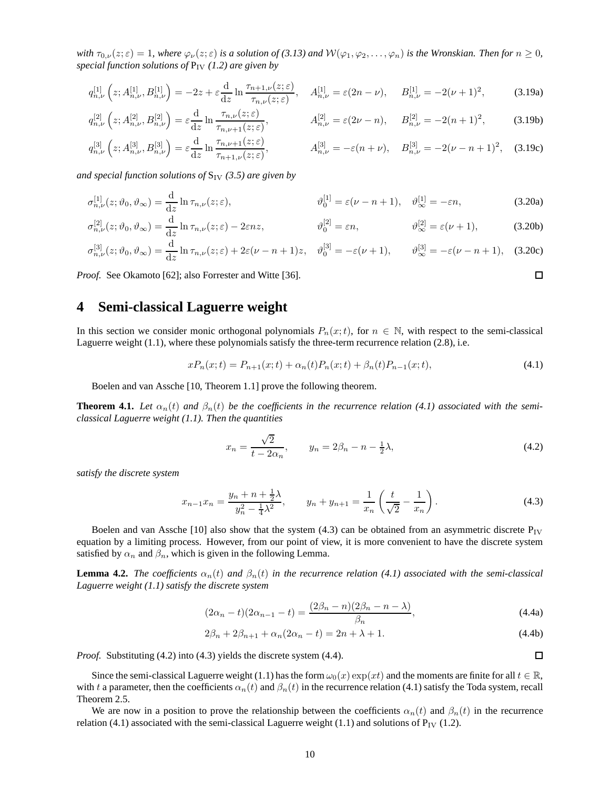*with*  $\tau_{0,\nu}(z;\varepsilon) = 1$ *, where*  $\varphi_{\nu}(z;\varepsilon)$  *is a solution of* (3.13) and  $W(\varphi_1,\varphi_2,\ldots,\varphi_n)$  *is the Wronskian. Then for*  $n \ge 0$ *, special function solutions of*  $P_{IV}$  (1.2) are given by

$$
q_{n,\nu}^{[1]}\left(z;A_{n,\nu}^{[1]},B_{n,\nu}^{[1]}\right) = -2z + \varepsilon \frac{\mathrm{d}}{\mathrm{d}z} \ln \frac{\tau_{n+1,\nu}(z;\varepsilon)}{\tau_{n,\nu}(z;\varepsilon)}, \quad A_{n,\nu}^{[1]} = \varepsilon (2n-\nu), \quad B_{n,\nu}^{[1]} = -2(\nu+1)^2, \tag{3.19a}
$$

$$
q_{n,\nu}^{[2]}\left(z;A_{n,\nu}^{[2]},B_{n,\nu}^{[2]}\right) = \varepsilon \frac{\mathrm{d}}{\mathrm{d}z} \ln \frac{\tau_{n,\nu}(z;\varepsilon)}{\tau_{n,\nu+1}(z;\varepsilon)}, \qquad A_{n,\nu}^{[2]} = \varepsilon(2\nu - n), \qquad B_{n,\nu}^{[2]} = -2(n+1)^2, \tag{3.19b}
$$

$$
q_{n,\nu}^{[3]}\left(z;A_{n,\nu}^{[3]},B_{n,\nu}^{[3]}\right) = \varepsilon \frac{\mathrm{d}}{\mathrm{d}z} \ln \frac{\tau_{n,\nu+1}(z;\varepsilon)}{\tau_{n+1,\nu}(z;\varepsilon)}, \qquad A_{n,\nu}^{[3]} = -\varepsilon(n+\nu), \quad B_{n,\nu}^{[3]} = -2(\nu-n+1)^2, \quad (3.19c)
$$

*and special function solutions of*  $S_{IV}$  (3.5) are given by

$$
\sigma_{n,\nu}^{[1]}(z;\vartheta_0,\vartheta_{\infty}) = \frac{\mathrm{d}}{\mathrm{d}z} \ln \tau_{n,\nu}(z;\varepsilon), \qquad \qquad \vartheta_0^{[1]} = \varepsilon(\nu - n + 1), \quad \vartheta_{\infty}^{[1]} = -\varepsilon n, \tag{3.20a}
$$

$$
\sigma_{n,\nu}^{[2]}(z;\vartheta_0,\vartheta_{\infty}) = \frac{\mathrm{d}}{\mathrm{d}z}\ln\tau_{n,\nu}(z;\varepsilon) - 2\varepsilon nz, \qquad \qquad \vartheta_0^{[2]} = \varepsilon n, \qquad \qquad \vartheta_{\infty}^{[2]} = \varepsilon(\nu+1), \qquad (3.20b)
$$

$$
\sigma_{n,\nu}^{[3]}(z;\vartheta_0,\vartheta_{\infty}) = \frac{\mathrm{d}}{\mathrm{d}z} \ln \tau_{n,\nu}(z;\varepsilon) + 2\varepsilon(\nu - n + 1)z, \quad \vartheta_0^{[3]} = -\varepsilon(\nu + 1), \qquad \vartheta_{\infty}^{[3]} = -\varepsilon(\nu - n + 1), \quad (3.20c)
$$

*Proof.* See Okamoto [62]; also Forrester and Witte [36].

# **4 Semi-classical Laguerre weight**

In this section we consider monic orthogonal polynomials  $P_n(x;t)$ , for  $n \in \mathbb{N}$ , with respect to the semi-classical Laguerre weight (1.1), where these polynomials satisfy the three-term recurrence relation (2.8), i.e.

$$
xP_n(x;t) = P_{n+1}(x;t) + \alpha_n(t)P_n(x;t) + \beta_n(t)P_{n-1}(x;t),
$$
\n(4.1)

Boelen and van Assche [10, Theorem 1.1] prove the following theorem.

**Theorem 4.1.** Let  $\alpha_n(t)$  and  $\beta_n(t)$  be the coefficients in the recurrence relation (4.1) associated with the semi*classical Laguerre weight (1.1). Then the quantities*

$$
x_n = \frac{\sqrt{2}}{t - 2\alpha_n}, \qquad y_n = 2\beta_n - n - \frac{1}{2}\lambda,\tag{4.2}
$$

*satisfy the discrete system*

$$
x_{n-1}x_n = \frac{y_n + n + \frac{1}{2}\lambda}{y_n^2 - \frac{1}{4}\lambda^2}, \qquad y_n + y_{n+1} = \frac{1}{x_n} \left(\frac{t}{\sqrt{2}} - \frac{1}{x_n}\right).
$$
 (4.3)

Boelen and van Assche [10] also show that the system (4.3) can be obtained from an asymmetric discrete  $P_{IV}$ equation by a limiting process. However, from our point of view, it is more convenient to have the discrete system satisfied by  $\alpha_n$  and  $\beta_n$ , which is given in the following Lemma.

**Lemma 4.2.** *The coefficients*  $\alpha_n(t)$  *and*  $\beta_n(t)$  *in the recurrence relation* (4.1) associated with the semi-classical *Laguerre weight (1.1) satisfy the discrete system*

$$
(2\alpha_n - t)(2\alpha_{n-1} - t) = \frac{(2\beta_n - n)(2\beta_n - n - \lambda)}{\beta_n},
$$
\n(4.4a)

$$
2\beta_n + 2\beta_{n+1} + \alpha_n(2\alpha_n - t) = 2n + \lambda + 1.
$$
\n(4.4b)

*Proof.* Substituting (4.2) into (4.3) yields the discrete system (4.4).

Since the semi-classical Laguerre weight (1.1) has the form  $\omega_0(x) \exp(xt)$  and the moments are finite for all  $t \in \mathbb{R}$ , with t a parameter, then the coefficients  $\alpha_n(t)$  and  $\beta_n(t)$  in the recurrence relation (4.1) satisfy the Toda system, recall Theorem 2.5.

We are now in a position to prove the relationship between the coefficients  $\alpha_n(t)$  and  $\beta_n(t)$  in the recurrence relation (4.1) associated with the semi-classical Laguerre weight (1.1) and solutions of  $P_{IV}$  (1.2).

 $\Box$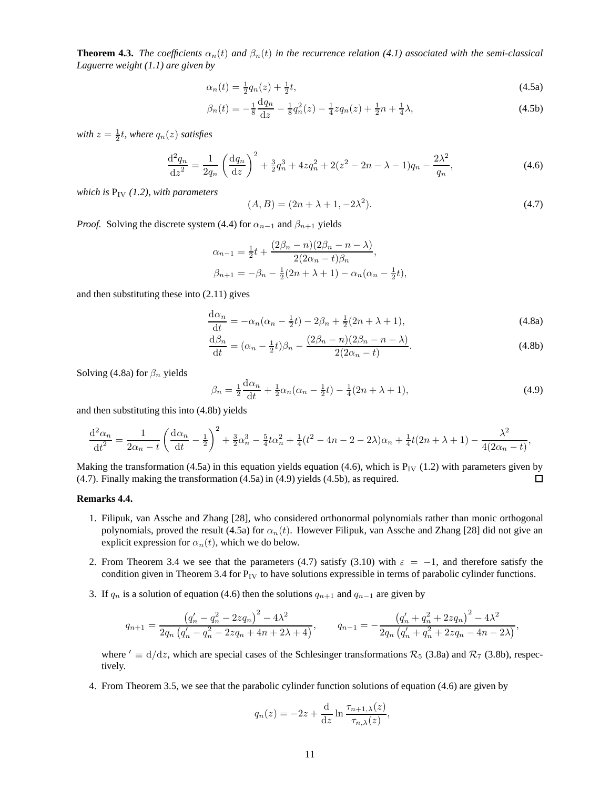**Theorem 4.3.** *The coefficients*  $\alpha_n(t)$  *and*  $\beta_n(t)$  *in the recurrence relation* (4.1) associated with the semi-classical *Laguerre weight (1.1) are given by*

$$
\alpha_n(t) = \frac{1}{2}q_n(z) + \frac{1}{2}t,\tag{4.5a}
$$

$$
\beta_n(t) = -\frac{1}{8} \frac{dq_n}{dz} - \frac{1}{8} q_n^2(z) - \frac{1}{4} z q_n(z) + \frac{1}{2} n + \frac{1}{4} \lambda,
$$
\n(4.5b)

 $with z = \frac{1}{2}t$ *, where*  $q_n(z)$  *satisfies* 

$$
\frac{\mathrm{d}^2 q_n}{\mathrm{d}z^2} = \frac{1}{2q_n} \left( \frac{\mathrm{d}q_n}{\mathrm{d}z} \right)^2 + \frac{3}{2} q_n^3 + 4z q_n^2 + 2(z^2 - 2n - \lambda - 1) q_n - \frac{2\lambda^2}{q_n},\tag{4.6}
$$

*which is*  $P_{IV}$  (1.2), with parameters

$$
(A, B) = (2n + \lambda + 1, -2\lambda^2). \tag{4.7}
$$

*Proof.* Solving the discrete system (4.4) for  $\alpha_{n-1}$  and  $\beta_{n+1}$  yields

$$
\alpha_{n-1} = \frac{1}{2}t + \frac{(2\beta_n - n)(2\beta_n - n - \lambda)}{2(2\alpha_n - t)\beta_n},
$$
  

$$
\beta_{n+1} = -\beta_n - \frac{1}{2}(2n + \lambda + 1) - \alpha_n(\alpha_n - \frac{1}{2}t),
$$

and then substituting these into (2.11) gives

$$
\frac{\mathrm{d}\alpha_n}{\mathrm{d}t} = -\alpha_n(\alpha_n - \frac{1}{2}t) - 2\beta_n + \frac{1}{2}(2n + \lambda + 1),\tag{4.8a}
$$

$$
\frac{\mathrm{d}\beta_n}{\mathrm{d}t} = (\alpha_n - \frac{1}{2}t)\beta_n - \frac{(2\beta_n - n)(2\beta_n - n - \lambda)}{2(2\alpha_n - t)}.\tag{4.8b}
$$

Solving (4.8a) for  $\beta_n$  yields

$$
\beta_n = \frac{1}{2} \frac{d\alpha_n}{dt} + \frac{1}{2} \alpha_n (\alpha_n - \frac{1}{2}t) - \frac{1}{4} (2n + \lambda + 1),\tag{4.9}
$$

and then substituting this into (4.8b) yields

$$
\frac{d^2\alpha_n}{dt^2} = \frac{1}{2\alpha_n - t} \left( \frac{d\alpha_n}{dt} - \frac{1}{2} \right)^2 + \frac{3}{2}\alpha_n^3 - \frac{5}{4}t\alpha_n^2 + \frac{1}{4}(t^2 - 4n - 2 - 2\lambda)\alpha_n + \frac{1}{4}t(2n + \lambda + 1) - \frac{\lambda^2}{4(2\alpha_n - t)},
$$

Making the transformation (4.5a) in this equation yields equation (4.6), which is  $P_{IV}$  (1.2) with parameters given by (4.7). Finally making the transformation (4.5a) in (4.9) yields (4.5b), as required.  $\Box$ 

#### **Remarks 4.4.**

- 1. Filipuk, van Assche and Zhang [28], who considered orthonormal polynomials rather than monic orthogonal polynomials, proved the result (4.5a) for  $\alpha_n(t)$ . However Filipuk, van Assche and Zhang [28] did not give an explicit expression for  $\alpha_n(t)$ , which we do below.
- 2. From Theorem 3.4 we see that the parameters (4.7) satisfy (3.10) with  $\varepsilon = -1$ , and therefore satisfy the condition given in Theorem 3.4 for  $P_{IV}$  to have solutions expressible in terms of parabolic cylinder functions.
- 3. If  $q_n$  is a solution of equation (4.6) then the solutions  $q_{n+1}$  and  $q_{n-1}$  are given by

$$
q_{n+1} = \frac{\left(q'_n - q_n^2 - 2zq_n\right)^2 - 4\lambda^2}{2q_n\left(q'_n - q_n^2 - 2zq_n + 4n + 2\lambda + 4\right)}, \qquad q_{n-1} = -\frac{\left(q'_n + q_n^2 + 2zq_n\right)^2 - 4\lambda^2}{2q_n\left(q'_n + q_n^2 + 2zq_n - 4n - 2\lambda\right)},
$$

where  $' \equiv d/dz$ , which are special cases of the Schlesinger transformations  $\mathcal{R}_5$  (3.8a) and  $\mathcal{R}_7$  (3.8b), respectively.

4. From Theorem 3.5, we see that the parabolic cylinder function solutions of equation (4.6) are given by

$$
q_n(z) = -2z + \frac{d}{dz} \ln \frac{\tau_{n+1,\lambda}(z)}{\tau_{n,\lambda}(z)},
$$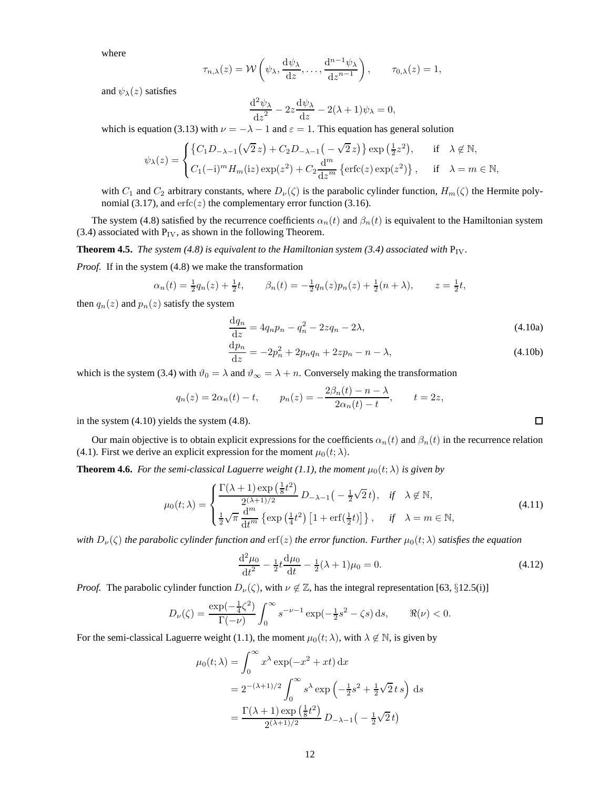where

$$
\tau_{n,\lambda}(z) = \mathcal{W}\left(\psi_{\lambda}, \frac{\mathrm{d}\psi_{\lambda}}{\mathrm{d}z}, \dots, \frac{\mathrm{d}^{n-1}\psi_{\lambda}}{\mathrm{d}z^{n-1}}\right), \qquad \tau_{0,\lambda}(z) = 1,
$$

and  $\psi_{\lambda}(z)$  satisfies

$$
\frac{\mathrm{d}^2 \psi_\lambda}{\mathrm{d} z^2} - 2z \frac{\mathrm{d} \psi_\lambda}{\mathrm{d} z} - 2(\lambda + 1)\psi_\lambda = 0,
$$

which is equation (3.13) with  $\nu = -\lambda - 1$  and  $\varepsilon = 1$ . This equation has general solution

$$
\psi_{\lambda}(z) = \begin{cases} \left\{C_1D_{-\lambda-1}\left(\sqrt{2}z\right) + C_2D_{-\lambda-1}\left(-\sqrt{2}z\right)\right\} \exp\left(\frac{1}{2}z^2\right), & \text{if } \lambda \notin \mathbb{N}, \\ C_1(-i)^m H_m(iz) \exp(z^2) + C_2 \frac{d^m}{dz^m} \left\{ \text{erfc}(z) \exp(z^2) \right\}, & \text{if } \lambda = m \in \mathbb{N}, \end{cases}
$$

with  $C_1$  and  $C_2$  arbitrary constants, where  $D_\nu(\zeta)$  is the parabolic cylinder function,  $H_m(\zeta)$  the Hermite polynomial (3.17), and  $erfc(z)$  the complementary error function (3.16).

The system (4.8) satisfied by the recurrence coefficients  $\alpha_n(t)$  and  $\beta_n(t)$  is equivalent to the Hamiltonian system (3.4) associated with  $P_{IV}$ , as shown in the following Theorem.

**Theorem 4.5.** *The system (4.8) is equivalent to the Hamiltonian system (3.4) associated with*  $P_{IV}$ *.* 

*Proof.* If in the system (4.8) we make the transformation

$$
\alpha_n(t) = \frac{1}{2}q_n(z) + \frac{1}{2}t, \qquad \beta_n(t) = -\frac{1}{2}q_n(z)p_n(z) + \frac{1}{2}(n+\lambda), \qquad z = \frac{1}{2}t,
$$

then  $q_n(z)$  and  $p_n(z)$  satisfy the system

$$
\frac{dq_n}{dz} = 4q_n p_n - q_n^2 - 2zq_n - 2\lambda,
$$
\n(4.10a)

$$
\frac{dp_n}{dz} = -2p_n^2 + 2p_n q_n + 2zp_n - n - \lambda,
$$
\n(4.10b)

which is the system (3.4) with  $\vartheta_0 = \lambda$  and  $\vartheta_{\infty} = \lambda + n$ . Conversely making the transformation

$$
q_n(z) = 2\alpha_n(t) - t
$$
,  $p_n(z) = -\frac{2\beta_n(t) - n - \lambda}{2\alpha_n(t) - t}$ ,  $t = 2z$ ,

in the system (4.10) yields the system (4.8).

Our main objective is to obtain explicit expressions for the coefficients  $\alpha_n(t)$  and  $\beta_n(t)$  in the recurrence relation (4.1). First we derive an explicit expression for the moment  $\mu_0(t; \lambda)$ .

**Theorem 4.6.** *For the semi-classical Laguerre weight (1.1), the moment*  $\mu_0(t; \lambda)$  *is given by* 

$$
\mu_0(t;\lambda) = \begin{cases} \frac{\Gamma(\lambda+1)\exp\left(\frac{1}{8}t^2\right)}{2^{(\lambda+1)/2}} D_{-\lambda-1}\left(-\frac{1}{2}\sqrt{2}t\right), & \text{if } \lambda \notin \mathbb{N}, \\ \frac{1}{2}\sqrt{\pi} \frac{d^m}{dt^m} \left\{ \exp\left(\frac{1}{4}t^2\right) \left[1 + \text{erf}\left(\frac{1}{2}t\right)\right] \right\}, & \text{if } \lambda = m \in \mathbb{N}, \end{cases}
$$
(4.11)

*with*  $D_\nu(\zeta)$  *the parabolic cylinder function and*  $erf(z)$  *the error function. Further*  $\mu_0(t; \lambda)$  *satisfies the equation* 

$$
\frac{d^2\mu_0}{dt^2} - \frac{1}{2}t\frac{d\mu_0}{dt} - \frac{1}{2}(\lambda + 1)\mu_0 = 0.
$$
\n(4.12)

*Proof.* The parabolic cylinder function  $D_{\nu}(\zeta)$ , with  $\nu \notin \mathbb{Z}$ , has the integral representation [63, §12.5(i)]

$$
D_{\nu}(\zeta) = \frac{\exp(-\frac{1}{4}\zeta^2)}{\Gamma(-\nu)} \int_0^{\infty} s^{-\nu - 1} \exp(-\frac{1}{2}s^2 - \zeta s) \,ds, \qquad \Re(\nu) < 0.
$$

For the semi-classical Laguerre weight (1.1), the moment  $\mu_0(t; \lambda)$ , with  $\lambda \notin \mathbb{N}$ , is given by

$$
\mu_0(t;\lambda) = \int_0^\infty x^\lambda \exp(-x^2 + xt) dx
$$
  
=  $2^{-(\lambda+1)/2} \int_0^\infty s^\lambda \exp\left(-\frac{1}{2}s^2 + \frac{1}{2}\sqrt{2}ts\right) ds$   
=  $\frac{\Gamma(\lambda+1)\exp\left(\frac{1}{8}t^2\right)}{2^{(\lambda+1)/2}} D_{-\lambda-1}\left(-\frac{1}{2}\sqrt{2}t\right)$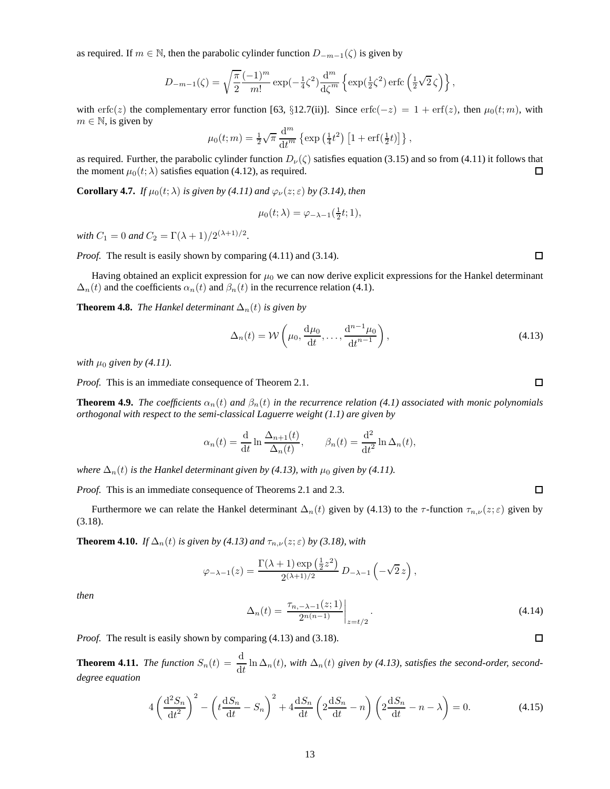as required. If  $m \in \mathbb{N}$ , then the parabolic cylinder function  $D_{-m-1}(\zeta)$  is given by

$$
D_{-m-1}(\zeta) = \sqrt{\frac{\pi}{2}} \frac{(-1)^m}{m!} \exp(-\frac{1}{4}\zeta^2) \frac{d^m}{d\zeta^m} \left\{ \exp(\frac{1}{2}\zeta^2) \operatorname{erfc}\left(\frac{1}{2}\sqrt{2}\zeta\right) \right\},\,
$$

with erfc(z) the complementary error function [63, §12.7(ii)]. Since erfc(-z) = 1 + erf(z), then  $\mu_0(t; m)$ , with  $m \in \mathbb{N}$ , is given by

$$
\mu_0(t;m) = \frac{1}{2}\sqrt{\pi} \frac{d^m}{dt^m} \left\{ \exp\left(\frac{1}{4}t^2\right) \left[1 + \text{erf}\left(\frac{1}{2}t\right)\right] \right\},\,
$$

as required. Further, the parabolic cylinder function  $D_{\nu}(\zeta)$  satisfies equation (3.15) and so from (4.11) it follows that the moment  $\mu_0(t; \lambda)$  satisfies equation (4.12), as required.  $\Box$ 

**Corollary 4.7.** *If*  $\mu_0(t; \lambda)$  *is given by (4.11) and*  $\varphi_{\nu}(z; \varepsilon)$  *by (3.14), then* 

$$
\mu_0(t;\lambda) = \varphi_{-\lambda-1}(\tfrac{1}{2}t;1),
$$

*with*  $C_1 = 0$  *and*  $C_2 = \Gamma(\lambda + 1)/2^{(\lambda + 1)/2}$ .

*Proof.* The result is easily shown by comparing (4.11) and (3.14).

Having obtained an explicit expression for  $\mu_0$  we can now derive explicit expressions for the Hankel determinant  $\Delta_n(t)$  and the coefficients  $\alpha_n(t)$  and  $\beta_n(t)$  in the recurrence relation (4.1).

**Theorem 4.8.** *The Hankel determinant*  $\Delta_n(t)$  *is given by* 

$$
\Delta_n(t) = \mathcal{W}\left(\mu_0, \frac{\mathrm{d}\mu_0}{\mathrm{d}t}, \dots, \frac{\mathrm{d}^{n-1}\mu_0}{\mathrm{d}t^{n-1}}\right),\tag{4.13}
$$

*with*  $\mu_0$  *given by (4.11).* 

*Proof.* This is an immediate consequence of Theorem 2.1.

**Theorem 4.9.** *The coefficients*  $\alpha_n(t)$  *and*  $\beta_n(t)$  *in the recurrence relation* (4.1) associated with monic polynomials *orthogonal with respect to the semi-classical Laguerre weight (1.1) are given by*

$$
\alpha_n(t) = \frac{\mathrm{d}}{\mathrm{d}t} \ln \frac{\Delta_{n+1}(t)}{\Delta_n(t)}, \qquad \beta_n(t) = \frac{\mathrm{d}^2}{\mathrm{d}t^2} \ln \Delta_n(t),
$$

*where*  $\Delta_n(t)$  *is the Hankel determinant given by (4.13), with*  $\mu_0$  *given by (4.11).* 

*Proof.* This is an immediate consequence of Theorems 2.1 and 2.3.

Furthermore we can relate the Hankel determinant  $\Delta_n(t)$  given by (4.13) to the  $\tau$ -function  $\tau_{n,\nu}(z;\epsilon)$  given by (3.18).

**Theorem 4.10.** *If*  $\Delta_n(t)$  *is given by (4.13) and*  $\tau_{n,\nu}(z;\epsilon)$  *by (3.18), with* 

$$
\varphi_{-\lambda-1}(z) = \frac{\Gamma(\lambda+1)\exp\left(\frac{1}{2}z^2\right)}{2^{(\lambda+1)/2}}\,D_{-\lambda-1}\left(-\sqrt{2}\,z\right),\,
$$

*then*

$$
\Delta_n(t) = \left. \frac{\tau_{n,-\lambda-1}(z;1)}{2^{n(n-1)}} \right|_{z=t/2}.
$$
\n(4.14)

*Proof.* The result is easily shown by comparing (4.13) and (3.18).

**Theorem 4.11.** *The function*  $S_n(t) = \frac{d}{dt} \ln \Delta_n(t)$ , with  $\Delta_n(t)$  given by (4.13), satisfies the second-order, second*degree equation*

$$
4\left(\frac{\mathrm{d}^2S_n}{\mathrm{d}t^2}\right)^2 - \left(t\frac{\mathrm{d}S_n}{\mathrm{d}t} - S_n\right)^2 + 4\frac{\mathrm{d}S_n}{\mathrm{d}t} \left(2\frac{\mathrm{d}S_n}{\mathrm{d}t} - n\right) \left(2\frac{\mathrm{d}S_n}{\mathrm{d}t} - n - \lambda\right) = 0. \tag{4.15}
$$

 $\Box$ 

 $\Box$ 

 $\Box$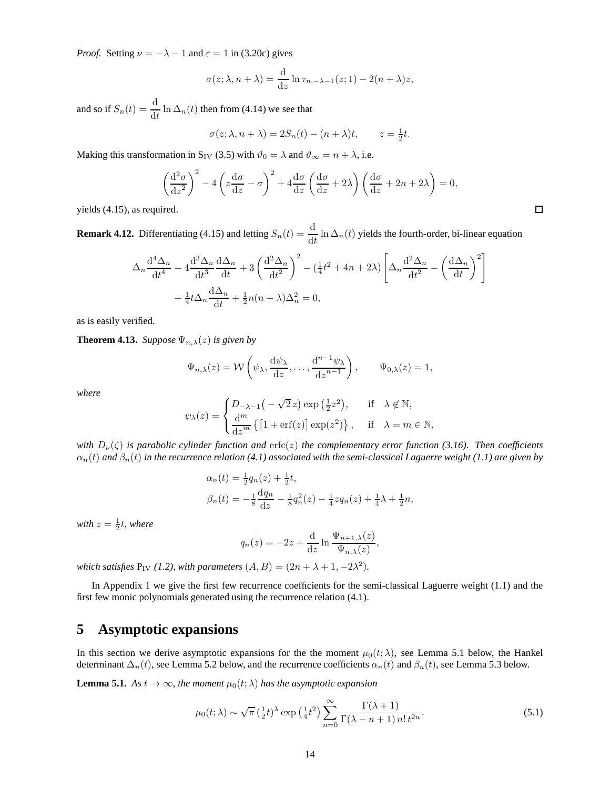*Proof.* Setting  $\nu = -\lambda - 1$  and  $\varepsilon = 1$  in (3.20c) gives

$$
\sigma(z; \lambda, n + \lambda) = \frac{\mathrm{d}}{\mathrm{d}z} \ln \tau_{n, -\lambda - 1}(z; 1) - 2(n + \lambda)z,
$$

and so if  $S_n(t) = \frac{d}{dt} \ln \Delta_n(t)$  then from (4.14) we see that

$$
\sigma(z; \lambda, n + \lambda) = 2S_n(t) - (n + \lambda)t, \qquad z = \frac{1}{2}t.
$$

Making this transformation in S<sub>IV</sub> (3.5) with  $\vartheta_0 = \lambda$  and  $\vartheta_{\infty} = n + \lambda$ , i.e.

$$
\left(\frac{\mathrm{d}^2\sigma}{\mathrm{d}z^2}\right)^2 - 4\left(z\frac{\mathrm{d}\sigma}{\mathrm{d}z} - \sigma\right)^2 + 4\frac{\mathrm{d}\sigma}{\mathrm{d}z}\left(\frac{\mathrm{d}\sigma}{\mathrm{d}z} + 2\lambda\right)\left(\frac{\mathrm{d}\sigma}{\mathrm{d}z} + 2n + 2\lambda\right) = 0,
$$

yields (4.15), as required.

**Remark 4.12.** Differentiating (4.15) and letting  $S_n(t) = \frac{d}{dt} \ln \Delta_n(t)$  yields the fourth-order, bi-linear equation

$$
\Delta_n \frac{d^4 \Delta_n}{dt^4} - 4 \frac{d^3 \Delta_n}{dt^3} \frac{d \Delta_n}{dt} + 3 \left( \frac{d^2 \Delta_n}{dt^2} \right)^2 - \left( \frac{1}{4} t^2 + 4n + 2 \lambda \right) \left[ \Delta_n \frac{d^2 \Delta_n}{dt^2} - \left( \frac{d \Delta_n}{dt} \right)^2 \right] + \frac{1}{4} t \Delta_n \frac{d \Delta_n}{dt} + \frac{1}{2} n(n + \lambda) \Delta_n^2 = 0,
$$

as is easily verified.

**Theorem 4.13.** *Suppose*  $\Psi_{n,\lambda}(z)$  *is given by* 

$$
\Psi_{n,\lambda}(z) = \mathcal{W}\left(\psi_{\lambda}, \frac{\mathrm{d}\psi_{\lambda}}{\mathrm{d}z}, \dots, \frac{\mathrm{d}^{n-1}\psi_{\lambda}}{\mathrm{d}z^{n-1}}\right), \qquad \Psi_{0,\lambda}(z) = 1,
$$

*where*

$$
\psi_{\lambda}(z) = \begin{cases} D_{-\lambda-1}\left(-\sqrt{2}z\right) \exp\left(\frac{1}{2}z^2\right), & \text{if } \lambda \notin \mathbb{N}, \\ \frac{d^m}{dz^m} \left\{\left[1 + \text{erf}(z)\right] \exp(z^2)\right\}, & \text{if } \lambda = m \in \mathbb{N}, \end{cases}
$$

*with*  $D_{\nu}(\zeta)$  *is parabolic cylinder function and* erfc(*z*) *the complementary error function (3.16). Then coefficients*  $\alpha_n(t)$  and  $\beta_n(t)$  in the recurrence relation (4.1) associated with the semi-classical Laguerre weight (1.1) are given by

$$
\alpha_n(t) = \frac{1}{2}q_n(z) + \frac{1}{2}t,
$$
  
\n
$$
\beta_n(t) = -\frac{1}{8}\frac{dq_n}{dz} - \frac{1}{8}q_n^2(z) - \frac{1}{4}zq_n(z) + \frac{1}{4}\lambda + \frac{1}{2}n,
$$

with  $z = \frac{1}{2}t$ , where

$$
q_n(z) = -2z + \frac{\mathrm{d}}{\mathrm{d}z} \ln \frac{\Psi_{n+1,\lambda}(z)}{\Psi_{n,\lambda}(z)},
$$

*which satisfies*  $P_{IV}$  (1.2), with parameters  $(A, B) = (2n + \lambda + 1, -2\lambda^2)$ .

In Appendix 1 we give the first few recurrence coefficients for the semi-classical Laguerre weight (1.1) and the first few monic polynomials generated using the recurrence relation (4.1).

# **5 Asymptotic expansions**

In this section we derive asymptotic expansions for the the moment  $\mu_0(t; \lambda)$ , see Lemma 5.1 below, the Hankel determinant  $\Delta_n(t)$ , see Lemma 5.2 below, and the recurrence coefficients  $\alpha_n(t)$  and  $\beta_n(t)$ , see Lemma 5.3 below.

**Lemma 5.1.** *As*  $t \to \infty$ *, the moment*  $\mu_0(t; \lambda)$  *has the asymptotic expansion* 

$$
\mu_0(t;\lambda) \sim \sqrt{\pi} \left(\frac{1}{2}t\right)^{\lambda} \exp\left(\frac{1}{4}t^2\right) \sum_{n=0}^{\infty} \frac{\Gamma(\lambda+1)}{\Gamma(\lambda-n+1) n! t^{2n}}.
$$
\n(5.1)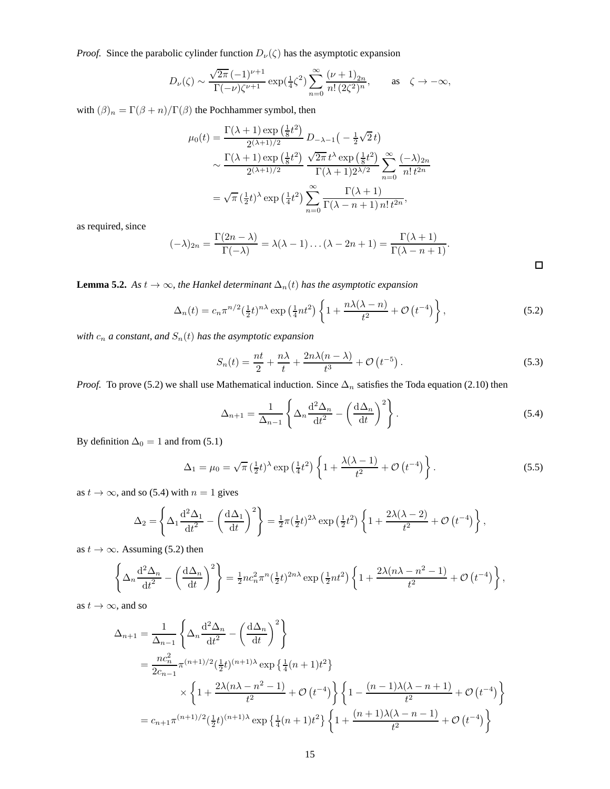*Proof.* Since the parabolic cylinder function  $D_{\nu}(\zeta)$  has the asymptotic expansion

$$
D_{\nu}(\zeta)\sim\frac{\sqrt{2\pi}\,(-1)^{\nu+1}}{\Gamma(-\nu)\zeta^{\nu+1}}\exp(\tfrac{1}{4}\zeta^2)\sum_{n=0}^{\infty}\frac{(\nu+1)_{2n}}{n!\,(2\zeta^2)^n},\qquad\text{as}\quad\zeta\to-\infty,
$$

with  $(\beta)_n = \Gamma(\beta+n)/\Gamma(\beta)$  the Pochhammer symbol, then

$$
\mu_0(t) = \frac{\Gamma(\lambda+1)\exp\left(\frac{1}{8}t^2\right)}{2^{(\lambda+1)/2}} D_{-\lambda-1}\left(-\frac{1}{2}\sqrt{2}t\right)
$$

$$
\sim \frac{\Gamma(\lambda+1)\exp\left(\frac{1}{8}t^2\right)}{2^{(\lambda+1)/2}} \frac{\sqrt{2\pi}t^{\lambda}\exp\left(\frac{1}{8}t^2\right)}{\Gamma(\lambda+1)2^{\lambda/2}} \sum_{n=0}^{\infty} \frac{(-\lambda)_{2n}}{n!t^{2n}}
$$

$$
= \sqrt{\pi}\left(\frac{1}{2}t\right)^{\lambda}\exp\left(\frac{1}{4}t^2\right) \sum_{n=0}^{\infty} \frac{\Gamma(\lambda+1)}{\Gamma(\lambda-n+1)\,n!t^{2n}},
$$

as required, since

$$
(-\lambda)_{2n} = \frac{\Gamma(2n - \lambda)}{\Gamma(-\lambda)} = \lambda(\lambda - 1)\dots(\lambda - 2n + 1) = \frac{\Gamma(\lambda + 1)}{\Gamma(\lambda - n + 1)}.
$$

**Lemma 5.2.** *As*  $t \to \infty$ *, the Hankel determinant*  $\Delta_n(t)$  *has the asymptotic expansion* 

$$
\Delta_n(t) = c_n \pi^{n/2} \left(\frac{1}{2}t\right)^{n\lambda} \exp\left(\frac{1}{4}nt^2\right) \left\{1 + \frac{n\lambda(\lambda - n)}{t^2} + \mathcal{O}\left(t^{-4}\right)\right\},\tag{5.2}
$$

 $with\ c_n$   $a$   $constant,$   $and\ S_n(t)$   $has\ the\ asymptotic\ expansion$ 

$$
S_n(t) = \frac{nt}{2} + \frac{n\lambda}{t} + \frac{2n\lambda(n-\lambda)}{t^3} + \mathcal{O}\left(t^{-5}\right). \tag{5.3}
$$

*Proof.* To prove (5.2) we shall use Mathematical induction. Since  $\Delta_n$  satisfies the Toda equation (2.10) then

$$
\Delta_{n+1} = \frac{1}{\Delta_{n-1}} \left\{ \Delta_n \frac{\mathrm{d}^2 \Delta_n}{\mathrm{d}t^2} - \left( \frac{\mathrm{d}\Delta_n}{\mathrm{d}t} \right)^2 \right\}.
$$
\n(5.4)

By definition  $\Delta_0 = 1$  and from (5.1)

$$
\Delta_1 = \mu_0 = \sqrt{\pi} \left( \frac{1}{2} t \right)^{\lambda} \exp \left( \frac{1}{4} t^2 \right) \left\{ 1 + \frac{\lambda(\lambda - 1)}{t^2} + \mathcal{O} \left( t^{-4} \right) \right\}.
$$
 (5.5)

as  $t \to \infty$ , and so (5.4) with  $n = 1$  gives

$$
\Delta_2 = \left\{ \Delta_1 \frac{d^2 \Delta_1}{dt^2} - \left( \frac{d \Delta_1}{dt} \right)^2 \right\} = \frac{1}{2} \pi \left( \frac{1}{2} t \right)^{2\lambda} \exp \left( \frac{1}{2} t^2 \right) \left\{ 1 + \frac{2\lambda (\lambda - 2)}{t^2} + \mathcal{O} \left( t^{-4} \right) \right\},
$$

as  $t \to \infty$ . Assuming (5.2) then

$$
\left\{\Delta_n \frac{\mathrm{d}^2 \Delta_n}{\mathrm{d}t^2} - \left(\frac{\mathrm{d}\Delta_n}{\mathrm{d}t}\right)^2\right\} = \frac{1}{2}nc_n^2 \pi^n \left(\frac{1}{2}t\right)^{2n\lambda} \exp\left(\frac{1}{2}nt^2\right) \left\{1 + \frac{2\lambda(n\lambda - n^2 - 1)}{t^2} + \mathcal{O}\left(t^{-4}\right)\right\},\,
$$

as  $t \to \infty$ , and so

$$
\Delta_{n+1} = \frac{1}{\Delta_{n-1}} \left\{ \Delta_n \frac{d^2 \Delta_n}{dt^2} - \left( \frac{d \Delta_n}{dt} \right)^2 \right\}
$$
  
=  $\frac{nc_n^2}{2c_{n-1}} \pi^{(n+1)/2} (\frac{1}{2}t)^{(n+1)\lambda} \exp \left\{ \frac{1}{4} (n+1)t^2 \right\}$   
 $\times \left\{ 1 + \frac{2\lambda (n\lambda - n^2 - 1)}{t^2} + \mathcal{O} (t^{-4}) \right\} \left\{ 1 - \frac{(n-1)\lambda (\lambda - n + 1)}{t^2} + \mathcal{O} (t^{-4}) \right\}$   
=  $c_{n+1} \pi^{(n+1)/2} (\frac{1}{2}t)^{(n+1)\lambda} \exp \left\{ \frac{1}{4} (n+1)t^2 \right\} \left\{ 1 + \frac{(n+1)\lambda (\lambda - n - 1)}{t^2} + \mathcal{O} (t^{-4}) \right\}$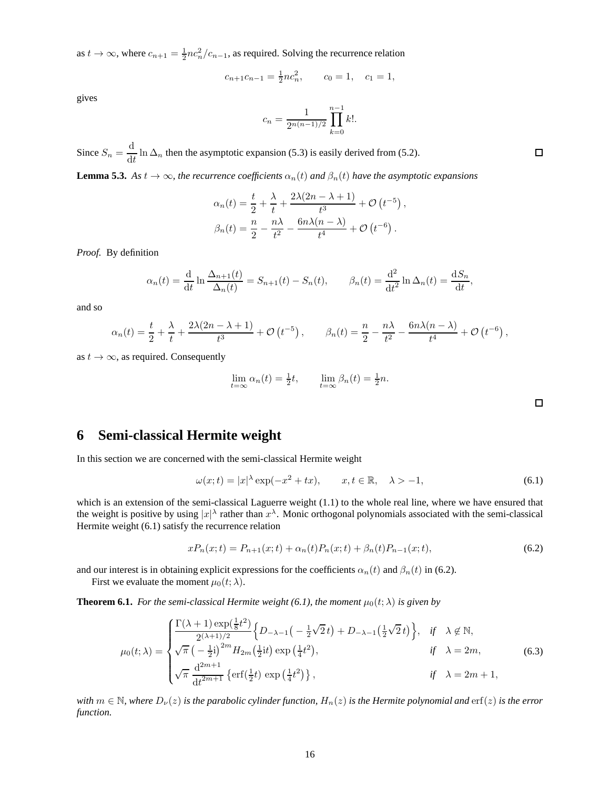as  $t \to \infty$ , where  $c_{n+1} = \frac{1}{2} n c_n^2 / c_{n-1}$ , as required. Solving the recurrence relation

$$
c_{n+1}c_{n-1} = \frac{1}{2}nc_n^2, \qquad c_0 = 1, \quad c_1 = 1,
$$

gives

$$
c_n = \frac{1}{2^{n(n-1)/2}} \prod_{k=0}^{n-1} k!.
$$

Since  $S_n = \frac{d}{dt}$  $\frac{d}{dt}$  ln  $\Delta_n$  then the asymptotic expansion (5.3) is easily derived from (5.2).

**Lemma 5.3.** *As*  $t \to \infty$ *, the recurrence coefficients*  $\alpha_n(t)$  *and*  $\beta_n(t)$  *have the asymptotic expansions* 

$$
\alpha_n(t) = \frac{t}{2} + \frac{\lambda}{t} + \frac{2\lambda(2n - \lambda + 1)}{t^3} + \mathcal{O}(t^{-5}),
$$
  

$$
\beta_n(t) = \frac{n}{2} - \frac{n\lambda}{t^2} - \frac{6n\lambda(n - \lambda)}{t^4} + \mathcal{O}(t^{-6}).
$$

*Proof.* By definition

$$
\alpha_n(t) = \frac{\mathrm{d}}{\mathrm{d}t} \ln \frac{\Delta_{n+1}(t)}{\Delta_n(t)} = S_{n+1}(t) - S_n(t), \qquad \beta_n(t) = \frac{\mathrm{d}^2}{\mathrm{d}t^2} \ln \Delta_n(t) = \frac{\mathrm{d}S_n}{\mathrm{d}t},
$$

and so

$$
\alpha_n(t) = \frac{t}{2} + \frac{\lambda}{t} + \frac{2\lambda(2n - \lambda + 1)}{t^3} + \mathcal{O}\left(t^{-5}\right), \qquad \beta_n(t) = \frac{n}{2} - \frac{n\lambda}{t^2} - \frac{6n\lambda(n - \lambda)}{t^4} + \mathcal{O}\left(t^{-6}\right),
$$

as  $t \to \infty$ , as required. Consequently

$$
\lim_{t=\infty} \alpha_n(t) = \frac{1}{2}t, \qquad \lim_{t=\infty} \beta_n(t) = \frac{1}{2}n.
$$

# **6 Semi-classical Hermite weight**

In this section we are concerned with the semi-classical Hermite weight

$$
\omega(x;t) = |x|^{\lambda} \exp(-x^2 + tx), \qquad x, t \in \mathbb{R}, \quad \lambda > -1,
$$
\n(6.1)

which is an extension of the semi-classical Laguerre weight (1.1) to the whole real line, where we have ensured that the weight is positive by using  $|x|^\lambda$  rather than  $x^\lambda$ . Monic orthogonal polynomials associated with the semi-classical Hermite weight (6.1) satisfy the recurrence relation

$$
xP_n(x;t) = P_{n+1}(x;t) + \alpha_n(t)P_n(x;t) + \beta_n(t)P_{n-1}(x;t),\tag{6.2}
$$

and our interest is in obtaining explicit expressions for the coefficients  $\alpha_n(t)$  and  $\beta_n(t)$  in (6.2).

First we evaluate the moment  $\mu_0(t; \lambda)$ .

**Theorem 6.1.** *For the semi-classical Hermite weight (6.1), the moment*  $\mu_0(t; \lambda)$  *is given by* 

$$
\mu_0(t;\lambda) = \begin{cases}\n\frac{\Gamma(\lambda+1)\exp(\frac{1}{8}t^2)}{2^{(\lambda+1)/2}} \left\{ D_{-\lambda-1} \left( -\frac{1}{2}\sqrt{2}t \right) + D_{-\lambda-1} \left( \frac{1}{2}\sqrt{2}t \right) \right\}, & \text{if } \lambda \notin \mathbb{N}, \\
\sqrt{\pi} \left( -\frac{1}{2}i \right)^{2m} H_{2m} \left( \frac{1}{2}it \right) \exp\left( \frac{1}{4}t^2 \right), & \text{if } \lambda = 2m, \\
\sqrt{\pi} \frac{d^{2m+1}}{dt^{2m+1}} \left\{ \text{erf} \left( \frac{1}{2}t \right) \exp\left( \frac{1}{4}t^2 \right) \right\}, & \text{if } \lambda = 2m+1,\n\end{cases}
$$
\n(6.3)

*with*  $m \in \mathbb{N}$ , where  $D_{\nu}(z)$  *is the parabolic cylinder function,*  $H_n(z)$  *is the Hermite polynomial and*  $\text{erf}(z)$  *is the error function.*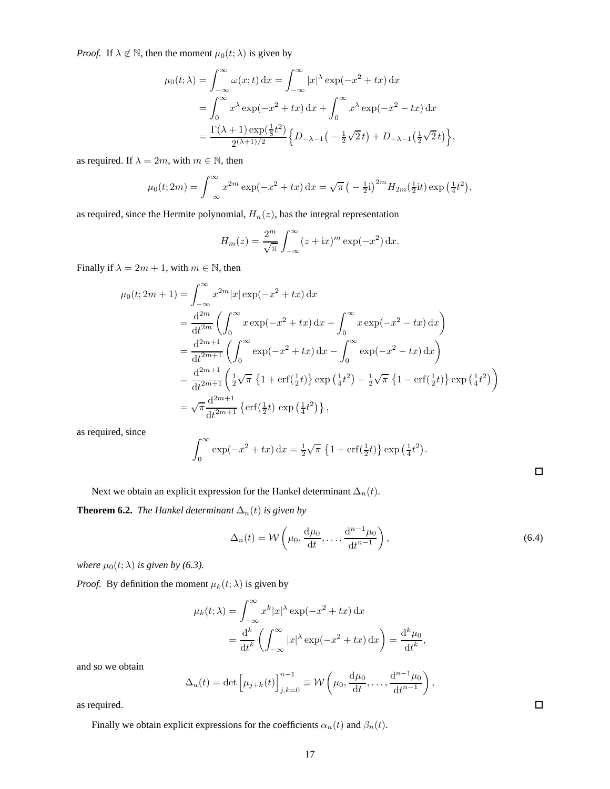*Proof.* If  $\lambda \notin \mathbb{N}$ , then the moment  $\mu_0(t; \lambda)$  is given by

$$
\mu_0(t;\lambda) = \int_{-\infty}^{\infty} \omega(x;t) dx = \int_{-\infty}^{\infty} |x|^\lambda \exp(-x^2 + tx) dx
$$
  
= 
$$
\int_{0}^{\infty} x^\lambda \exp(-x^2 + tx) dx + \int_{0}^{\infty} x^\lambda \exp(-x^2 - tx) dx
$$
  
= 
$$
\frac{\Gamma(\lambda + 1) \exp(\frac{1}{8}t^2)}{2^{(\lambda + 1)/2}} \Big\{ D_{-\lambda - 1}(-\frac{1}{2}\sqrt{2}t) + D_{-\lambda - 1}(\frac{1}{2}\sqrt{2}t) \Big\},
$$

as required. If  $\lambda = 2m$ , with  $m \in \mathbb{N}$ , then

$$
\mu_0(t; 2m) = \int_{-\infty}^{\infty} x^{2m} \exp(-x^2 + tx) dx = \sqrt{\pi} \left(-\frac{1}{2}i\right)^{2m} H_{2m}(\frac{1}{2}it) \exp\left(\frac{1}{4}t^2\right),
$$

as required, since the Hermite polynomial,  $\mathcal{H}_n(z)$  has the integral representation

$$
H_m(z) = \frac{2^m}{\sqrt{\pi}} \int_{-\infty}^{\infty} (z + ix)^m \exp(-x^2) dx.
$$

Finally if  $\lambda = 2m + 1$ , with  $m \in \mathbb{N}$ , then

$$
\mu_0(t; 2m + 1) = \int_{-\infty}^{\infty} x^{2m} |x| \exp(-x^2 + tx) dx
$$
  
\n
$$
= \frac{d^{2m}}{dt^{2m}} \left( \int_0^{\infty} x \exp(-x^2 + tx) dx + \int_0^{\infty} x \exp(-x^2 - tx) dx \right)
$$
  
\n
$$
= \frac{d^{2m+1}}{dt^{2m+1}} \left( \int_0^{\infty} \exp(-x^2 + tx) dx - \int_0^{\infty} \exp(-x^2 - tx) dx \right)
$$
  
\n
$$
= \frac{d^{2m+1}}{dt^{2m+1}} \left( \frac{1}{2} \sqrt{\pi} \left\{ 1 + \text{erf}(\frac{1}{2}t) \right\} \exp\left(\frac{1}{4}t^2\right) - \frac{1}{2} \sqrt{\pi} \left\{ 1 - \text{erf}(\frac{1}{2}t) \right\} \exp\left(\frac{1}{4}t^2\right) \right\}
$$
  
\n
$$
= \sqrt{\pi} \frac{d^{2m+1}}{dt^{2m+1}} \left\{ \text{erf}(\frac{1}{2}t) \exp\left(\frac{1}{4}t^2\right) \right\},
$$

as required, since

$$
\int_0^{\infty} \exp(-x^2 + tx) dx = \frac{1}{2}\sqrt{\pi} \left\{1 + \text{erf}(\frac{1}{2}t)\right\} \exp\left(\frac{1}{4}t^2\right).
$$

 $\Box$ 

Next we obtain an explicit expression for the Hankel determinant  $\Delta_n(t)$ .

**Theorem 6.2.** *The Hankel determinant*  $\Delta_n(t)$  *is given by* 

$$
\Delta_n(t) = \mathcal{W}\left(\mu_0, \frac{\mathrm{d}\mu_0}{\mathrm{d}t}, \dots, \frac{\mathrm{d}^{n-1}\mu_0}{\mathrm{d}t^{n-1}}\right),\tag{6.4}
$$

*where*  $\mu_0(t; \lambda)$  *is given by (6.3).* 

*Proof.* By definition the moment  $\mu_k(t; \lambda)$  is given by

$$
\mu_k(t; \lambda) = \int_{-\infty}^{\infty} x^k |x|^\lambda \exp(-x^2 + tx) dx
$$

$$
= \frac{d^k}{dt^k} \left( \int_{-\infty}^{\infty} |x|^\lambda \exp(-x^2 + tx) dx \right) = \frac{d^k \mu_0}{dt^k},
$$

and so we obtain

$$
\Delta_n(t) = \det \left[ \mu_{j+k}(t) \right]_{j,k=0}^{n-1} \equiv \mathcal{W}\left( \mu_0, \frac{\mathrm{d}\mu_0}{\mathrm{d}t}, \dots, \frac{\mathrm{d}^{n-1}\mu_0}{\mathrm{d}t^{n-1}} \right),
$$

as required.

Finally we obtain explicit expressions for the coefficients  $\alpha_n(t)$  and  $\beta_n(t)$ .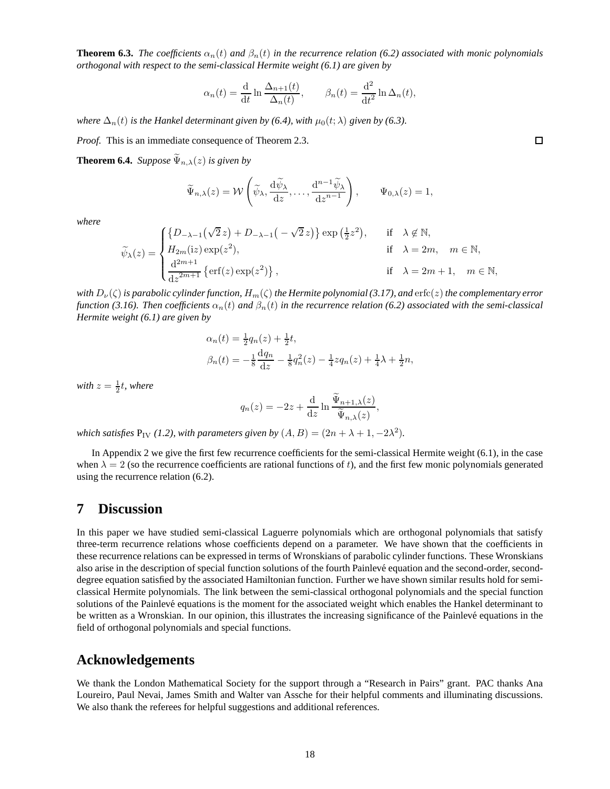**Theorem 6.3.** *The coefficients*  $\alpha_n(t)$  *and*  $\beta_n(t)$  *in the recurrence relation* (6.2) associated with monic polynomials *orthogonal with respect to the semi-classical Hermite weight (6.1) are given by*

$$
\alpha_n(t) = \frac{\mathrm{d}}{\mathrm{d}t} \ln \frac{\Delta_{n+1}(t)}{\Delta_n(t)}, \qquad \beta_n(t) = \frac{\mathrm{d}^2}{\mathrm{d}t^2} \ln \Delta_n(t),
$$

*where*  $\Delta_n(t)$  *is the Hankel determinant given by (6.4), with*  $\mu_0(t; \lambda)$  *given by (6.3).* 

*Proof.* This is an immediate consequence of Theorem 2.3.

**Theorem 6.4.** *Suppose*  $\widetilde{\Psi}_{n,\lambda}(z)$  *is given by* 

$$
\widetilde{\Psi}_{n,\lambda}(z) = \mathcal{W}\left(\widetilde{\psi}_{\lambda}, \frac{\mathrm{d}\widetilde{\psi}_{\lambda}}{\mathrm{d}z}, \dots, \frac{\mathrm{d}^{n-1}\widetilde{\psi}_{\lambda}}{\mathrm{d}z^{n-1}}\right), \qquad \Psi_{0,\lambda}(z) = 1,
$$

*where*

$$
\widetilde{\psi}_{\lambda}(z) = \begin{cases} \left\{D_{-\lambda-1}\left(\sqrt{2}\,z\right) + D_{-\lambda-1}\left(-\sqrt{2}\,z\right)\right\} \exp\left(\frac{1}{2}z^2\right), & \text{if} \quad \lambda \notin \mathbb{N}, \\ H_{2m}(\text{i}z) \exp(z^2), & \text{if} \quad \lambda = 2m, \quad m \in \mathbb{N}, \\ \frac{\mathrm{d}^{2m+1}}{\mathrm{d}z^{2m+1}} \left\{ \mathrm{erf}(z) \exp(z^2) \right\}, & \text{if} \quad \lambda = 2m+1, \quad m \in \mathbb{N}, \end{cases}
$$

*with*  $D_\nu(\zeta)$  *is parabolic cylinder function,*  $H_m(\zeta)$  *the Hermite polynomial* (3.17), and erfc(z) *the complementary error function (3.16). Then coefficients*  $\alpha_n(t)$  *and*  $\beta_n(t)$  *in the recurrence relation (6.2) associated with the semi-classical Hermite weight (6.1) are given by*

$$
\alpha_n(t) = \frac{1}{2}q_n(z) + \frac{1}{2}t,
$$
  
\n
$$
\beta_n(t) = -\frac{1}{8}\frac{dq_n}{dz} - \frac{1}{8}q_n^2(z) - \frac{1}{4}zq_n(z) + \frac{1}{4}\lambda + \frac{1}{2}n,
$$

with  $z = \frac{1}{2}t$ , where

$$
q_n(z) = -2z + \frac{\mathrm{d}}{\mathrm{d}z} \ln \frac{\Psi_{n+1,\lambda}(z)}{\widetilde{\Psi}_{n,\lambda}(z)},
$$

*which satisfies*  $P_{IV}$  (1.2), with parameters given by  $(A, B) = (2n + \lambda + 1, -2\lambda^2)$ .

In Appendix 2 we give the first few recurrence coefficients for the semi-classical Hermite weight (6.1), in the case when  $\lambda = 2$  (so the recurrence coefficients are rational functions of t), and the first few monic polynomials generated using the recurrence relation (6.2).

## **7 Discussion**

In this paper we have studied semi-classical Laguerre polynomials which are orthogonal polynomials that satisfy three-term recurrence relations whose coefficients depend on a parameter. We have shown that the coefficients in these recurrence relations can be expressed in terms of Wronskians of parabolic cylinder functions. These Wronskians also arise in the description of special function solutions of the fourth Painlevé equation and the second-order, seconddegree equation satisfied by the associated Hamiltonian function. Further we have shown similar results hold for semiclassical Hermite polynomials. The link between the semi-classical orthogonal polynomials and the special function solutions of the Painlevé equations is the moment for the associated weight which enables the Hankel determinant to be written as a Wronskian. In our opinion, this illustrates the increasing significance of the Painlevé equations in the field of orthogonal polynomials and special functions.

## **Acknowledgements**

We thank the London Mathematical Society for the support through a "Research in Pairs" grant. PAC thanks Ana Loureiro, Paul Nevai, James Smith and Walter van Assche for their helpful comments and illuminating discussions. We also thank the referees for helpful suggestions and additional references.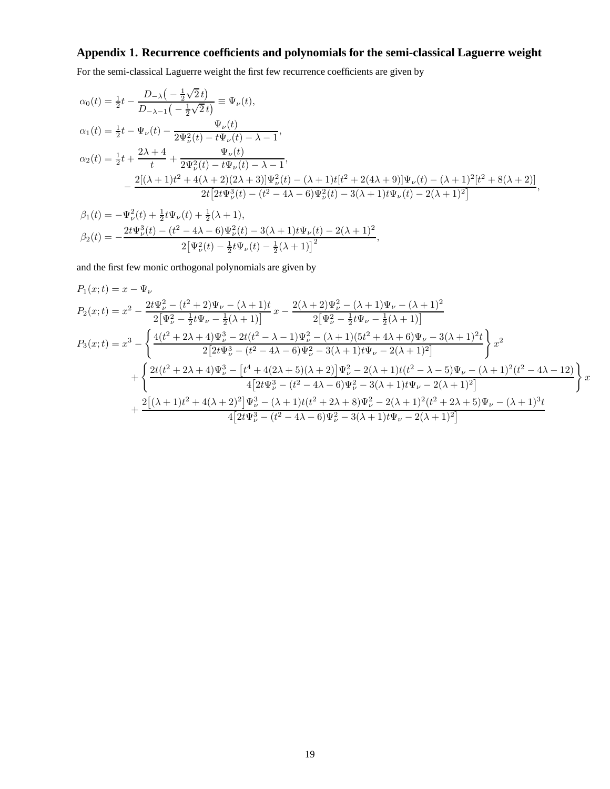# **Appendix 1. Recurrence coefficients and polynomials for the semi-classical Laguerre weight**

For the semi-classical Laguerre weight the first few recurrence coefficients are given by

$$
\alpha_0(t) = \frac{1}{2}t - \frac{D_{-\lambda}\left(-\frac{1}{2}\sqrt{2}t\right)}{D_{-\lambda-1}\left(-\frac{1}{2}\sqrt{2}t\right)} \equiv \Psi_{\nu}(t),
$$
\n
$$
\alpha_1(t) = \frac{1}{2}t - \Psi_{\nu}(t) - \frac{\Psi_{\nu}(t)}{2\Psi_{\nu}^2(t) - t\Psi_{\nu}(t) - \lambda - 1},
$$
\n
$$
\alpha_2(t) = \frac{1}{2}t + \frac{2\lambda + 4}{t} + \frac{\Psi_{\nu}(t)}{2\Psi_{\nu}^2(t) - t\Psi_{\nu}(t) - \lambda - 1},
$$
\n
$$
-\frac{2[(\lambda + 1)t^2 + 4(\lambda + 2)(2\lambda + 3)]\Psi_{\nu}^2(t) - (\lambda + 1)t[t^2 + 2(4\lambda + 9)]\Psi_{\nu}(t) - (\lambda + 1)^2[t^2 + 8(\lambda + 2)]}{2t[2t\Psi_{\nu}^3(t) - (t^2 - 4\lambda - 6)\Psi_{\nu}^2(t) - 3(\lambda + 1)t\Psi_{\nu}(t) - 2(\lambda + 1)^2]},
$$

$$
\beta_1(t) = -\Psi_{\nu}^2(t) + \frac{1}{2}t\Psi_{\nu}(t) + \frac{1}{2}(\lambda + 1),
$$
  
\n
$$
\beta_2(t) = -\frac{2t\Psi_{\nu}^3(t) - (t^2 - 4\lambda - 6)\Psi_{\nu}^2(t) - 3(\lambda + 1)t\Psi_{\nu}(t) - 2(\lambda + 1)^2}{2[\Psi_{\nu}^2(t) - \frac{1}{2}t\Psi_{\nu}(t) - \frac{1}{2}(\lambda + 1)]^2},
$$

and the first few monic orthogonal polynomials are given by

$$
P_1(x;t) = x - \Psi_{\nu}
$$
  
\n
$$
P_2(x;t) = x^2 - \frac{2t\Psi_{\nu}^2 - (t^2 + 2)\Psi_{\nu} - (\lambda + 1)t}{2[\Psi_{\nu}^2 - \frac{1}{2}t\Psi_{\nu} - \frac{1}{2}(\lambda + 1)]}x - \frac{2(\lambda + 2)\Psi_{\nu}^2 - (\lambda + 1)\Psi_{\nu} - (\lambda + 1)^2}{2[\Psi_{\nu}^2 - \frac{1}{2}t\Psi_{\nu} - \frac{1}{2}(\lambda + 1)]}
$$
  
\n
$$
P_3(x;t) = x^3 - \left\{ \frac{4(t^2 + 2\lambda + 4)\Psi_{\nu}^3 - 2t(t^2 - \lambda - 1)\Psi_{\nu}^2 - (\lambda + 1)(5t^2 + 4\lambda + 6)\Psi_{\nu} - 3(\lambda + 1)^2t}{2[2t\Psi_{\nu}^3 - (t^2 - 4\lambda - 6)\Psi_{\nu}^2 - 3(\lambda + 1)t\Psi_{\nu} - 2(\lambda + 1)^2]} \right\} x^2
$$
  
\n
$$
+ \left\{ \frac{2t(t^2 + 2\lambda + 4)\Psi_{\nu}^3 - [t^4 + 4(2\lambda + 5)(\lambda + 2)]\Psi_{\nu}^2 - 2(\lambda + 1)t(t^2 - \lambda - 5)\Psi_{\nu} - (\lambda + 1)^2(t^2 - 4\lambda - 12)}{4[2t\Psi_{\nu}^3 - (t^2 - 4\lambda - 6)\Psi_{\nu}^2 - 3(\lambda + 1)t\Psi_{\nu} - 2(\lambda + 1)^2]} \right\} x
$$
  
\n
$$
+ \frac{2[(\lambda + 1)t^2 + 4(\lambda + 2)^2]\Psi_{\nu}^3 - (\lambda + 1)t(t^2 + 2\lambda + 8)\Psi_{\nu}^2 - 2(\lambda + 1)^2(t^2 + 2\lambda + 5)\Psi_{\nu} - (\lambda + 1)^3t}{4[2t\Psi_{\nu}^3 - (t^2 - 4\lambda - 6)\Psi_{\nu}^2 - 3(\lambda + 1)t\P_{\nu} - 2(\lambda + 1)^2]}
$$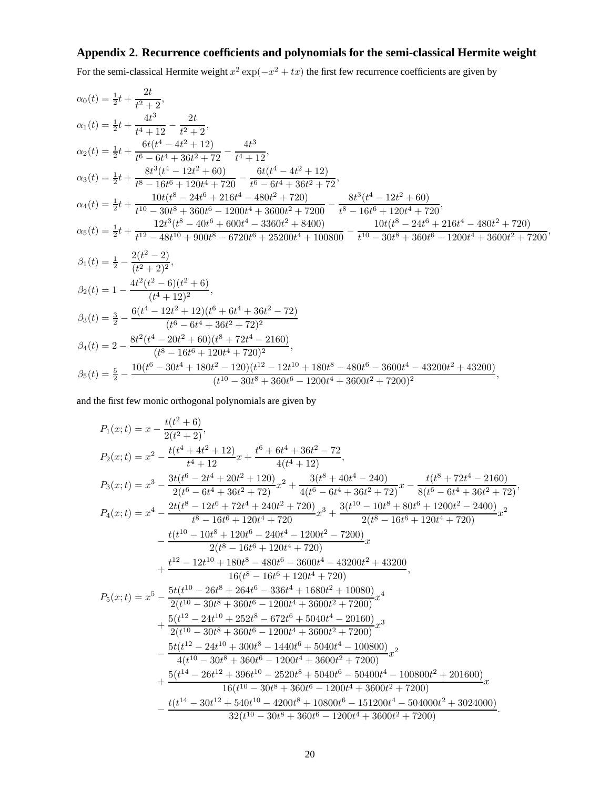# **Appendix 2. Recurrence coefficients and polynomials for the semi-classical Hermite weight**

For the semi-classical Hermite weight  $x^2 \exp(-x^2 + tx)$  the first few recurrence coefficients are given by

$$
\alpha_0(t) = \frac{1}{2}t + \frac{2t}{t^2+2},
$$
\n
$$
\alpha_1(t) = \frac{1}{2}t + \frac{4t^3}{t^4+12} - \frac{2t}{t^2+2},
$$
\n
$$
\alpha_2(t) = \frac{1}{2}t + \frac{6t(t^4 - 4t^2 + 12)}{t^6 - 6t^4 + 36t^2 + 72} - \frac{4t^3}{t^4 + 12},
$$
\n
$$
\alpha_3(t) = \frac{1}{2}t + \frac{6t^3(t^4 - 12t^2 + 60)}{t^8 - 16t^6 + 120t^4 + 720} - \frac{6t(t^4 - 4t^2 + 12)}{t^6 - 6t^4 + 36t^2 + 72},
$$
\n
$$
\alpha_4(t) = \frac{1}{2}t + \frac{10t(t^8 - 24t^6 + 216t^4 - 480t^2 + 720)}{t^{10} - 30t^8 + 360t^6 - 1200t^4 + 3600t^2 + 7200} - \frac{8t^3(t^4 - 12t^2 + 60)}{t^8 - 16t^6 + 120t^4 + 720},
$$
\n
$$
\alpha_5(t) = \frac{1}{2}t + \frac{12t^3(t^8 - 40t^6 + 600t^4 - 3360t^2 + 8400)}{t^{12} - 48t^{10} + 900t^8 - 6720t^6 + 25200t^4 + 100800} - \frac{10t(t^8 - 24t^6 + 216t^4 - 480t^2 + 720)}{t^{10} - 30t^8 + 360t^6 - 1200t^4 + 3600t^2 + 7200},
$$
\n
$$
\beta_1(t) = \frac{1}{2} - \frac{2(t^2 - 2)}{(t^2 + 2)^2},
$$
\n
$$
\beta_2(t) = 1 - \frac{4t^2(t^2 - 6)(t^2 + 6)}{(t^4 + 12)^2},
$$
\n
$$
\beta_3(t) = \frac{3}{2} - \frac
$$

and the first few monic orthogonal polynomials are given by

$$
P_1(x;t) = x - \frac{t(t^2 + 6)}{2(t^2 + 2)},
$$
  
\n
$$
P_2(x;t) = x^2 - \frac{t(t^4 + 4t^2 + 12)}{t^4 + 12}x + \frac{t^6 + 6t^4 + 36t^2 - 72}{4(t^4 + 12)},
$$
  
\n
$$
P_3(x;t) = x^3 - \frac{3t(t^6 - 2t^4 + 20t^2 + 120)}{2(t^6 - 6t^4 + 36t^2 + 72)}x^2 + \frac{3(t^8 + 40t^4 - 240)}{4(t^6 - 6t^4 + 36t^2 + 72)}x - \frac{t(t^8 + 72t^4 - 2160)}{8(t^6 - 6t^4 + 36t^2 + 72)},
$$
  
\n
$$
P_4(x;t) = x^4 - \frac{2t(t^8 - 12t^6 + 72t^4 + 240t^2 + 720)}{t^8 - 16t^6 + 120t^4 + 720}x^3 + \frac{3(t^{10} - 10t^8 + 80t^6 + 1200t^2 - 2400)}{2(t^8 - 16t^6 + 120t^4 + 720)}x^2 - \frac{t(t^{10} - 10t^8 + 120t^6 - 240t^4 - 1200t^2 - 7200)}{2(t^8 - 16t^6 + 120t^4 + 720)}x + \frac{t^{12} - 12t^{10} + 180t^8 - 480t^6 - 3600t^4 - 43200t^2 + 43200}{16(t^8 - 16t^6 + 120t^4 + 720)}x + \frac{t^{12} - 12t^{10} + 180t^8 + 264t^6 - 3600t^4 - 43200t^2 + 43200}{2(t^{10} - 30t^8 + 360t^6 - 1200t^4 + 3600t^2 + 7200)}x^4 + \frac{5(t^{12} - 24t^{10} + 252t^8 - 672t^6 + 5040t^4 - 201
$$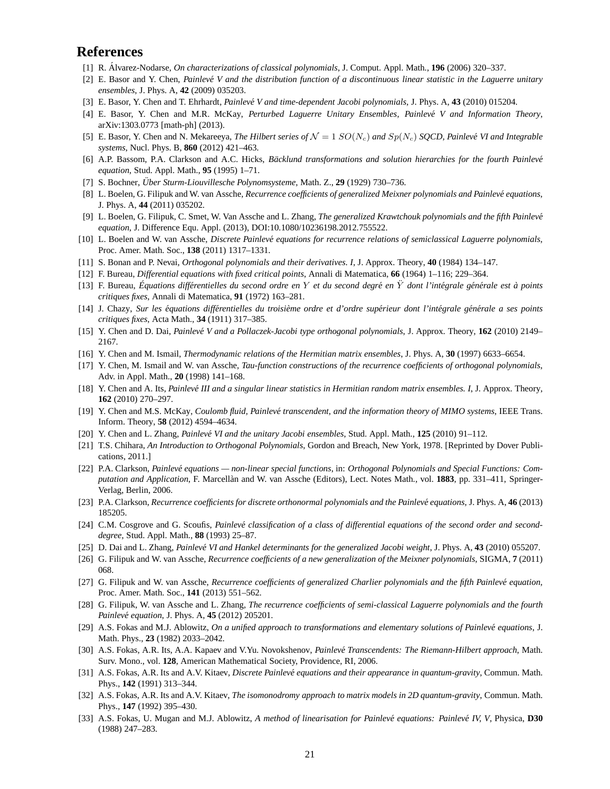# **References**

- [1] R. Álvarez-Nodarse, *On characterizations of classical polynomials*, J. Comput. Appl. Math., **196** (2006) 320–337.
- [2] E. Basor and Y. Chen, *Painlev´e V and the distribution function of a discontinuous linear statistic in the Laguerre unitary ensembles*, J. Phys. A, **42** (2009) 035203.
- [3] E. Basor, Y. Chen and T. Ehrhardt, *Painlevé V and time-dependent Jacobi polynomials*, J. Phys. A, 43 (2010) 015204.
- [4] E. Basor, Y. Chen and M.R. McKay, *Perturbed Laguerre Unitary Ensembles, Painlevé V and Information Theory*, arXiv:1303.0773 [math-ph] (2013).
- [5] E. Basor, Y. Chen and N. Mekareeya, *The Hilbert series of*  $\mathcal{N} = 1$   $SO(N_c)$  and  $Sp(N_c)$  *SQCD, Painlevé VI and Integrable systems*, Nucl. Phys. B, **860** (2012) 421–463.
- [6] A.P. Bassom, P.A. Clarkson and A.C. Hicks, *Bäcklund transformations and solution hierarchies for the fourth Painlevé equation*, Stud. Appl. Math., **95** (1995) 1–71.
- [7] S. Bochner, Über Sturm-Liouvillesche Polynomsysteme, Math. Z., 29 (1929) 730-736.
- [8] L. Boelen, G. Filipuk and W. van Assche, *Recurrence coefficients of generalized Meixner polynomials and Painlevé equations*, J. Phys. A, **44** (2011) 035202.
- [9] L. Boelen, G. Filipuk, C. Smet, W. Van Assche and L. Zhang, *The generalized Krawtchouk polynomials and the fifth Painlev´e equation*, J. Difference Equ. Appl. (2013), DOI:10.1080/10236198.2012.755522.
- [10] L. Boelen and W. van Assche, *Discrete Painlev´e equations for recurrence relations of semiclassical Laguerre polynomials*, Proc. Amer. Math. Soc., **138** (2011) 1317–1331.
- [11] S. Bonan and P. Nevai, *Orthogonal polynomials and their derivatives. I*, J. Approx. Theory, **40** (1984) 134–147.
- [12] F. Bureau, *Differential equations with fixed critical points*, Annali di Matematica, **66** (1964) 1–116; 229–364.
- [13] F. Bureau, *Equations diff´erentielles du second ordre en ´* Y *et du second degr´e en* Y¨ *dont l'int´egrale g´en´erale est `a points critiques fixes*, Annali di Matematica, **91** (1972) 163–281.
- [14] J. Chazy, Sur les équations différentielles du troisième ordre et d'ordre supérieur dont l'intégrale générale a ses points *critiques fixes*, Acta Math., **34** (1911) 317–385.
- [15] Y. Chen and D. Dai, *Painlev´e V and a Pollaczek-Jacobi type orthogonal polynomials*, J. Approx. Theory, **162** (2010) 2149– 2167.
- [16] Y. Chen and M. Ismail, *Thermodynamic relations of the Hermitian matrix ensembles*, J. Phys. A, **30** (1997) 6633–6654.
- [17] Y. Chen, M. Ismail and W. van Assche, *Tau-function constructions of the recurrence coefficients of orthogonal polynomials*, Adv. in Appl. Math., **20** (1998) 141–168.
- [18] Y. Chen and A. Its, *Painlev´e III and a singular linear statistics in Hermitian random matrix ensembles. I*, J. Approx. Theory, **162** (2010) 270–297.
- [19] Y. Chen and M.S. McKay, *Coulomb fluid, Painlevé transcendent, and the information theory of MIMO systems*, IEEE Trans. Inform. Theory, **58** (2012) 4594–4634.
- [20] Y. Chen and L. Zhang, *Painlevé VI and the unitary Jacobi ensembles*, Stud. Appl. Math., **125** (2010) 91–112.
- [21] T.S. Chihara, *An Introduction to Orthogonal Polynomials*, Gordon and Breach, New York, 1978. [Reprinted by Dover Publications, 2011.]
- [22] P.A. Clarkson, *Painlevé equations non-linear special functions*, in: *Orthogonal Polynomials and Special Functions: Computation and Application*, F. Marcellàn and W. van Assche (Editors), Lect. Notes Math., vol. 1883, pp. 331–411, Springer-Verlag, Berlin, 2006.
- [23] P.A. Clarkson, *Recurrence coefficients for discrete orthonormal polynomials and the Painlevé equations*, J. Phys. A, 46 (2013) 185205.
- [24] C.M. Cosgrove and G. Scoufis, *Painlevé classification of a class of differential equations of the second order and seconddegree*, Stud. Appl. Math., **88** (1993) 25–87.
- [25] D. Dai and L. Zhang, *Painlevé VI and Hankel determinants for the generalized Jacobi weight*, J. Phys. A, 43 (2010) 055207.
- [26] G. Filipuk and W. van Assche, *Recurrence coefficients of a new generalization of the Meixner polynomials*, SIGMA, **7** (2011) 068.
- [27] G. Filipuk and W. van Assche, *Recurrence coefficients of generalized Charlier polynomials and the fifth Painlevé equation*, Proc. Amer. Math. Soc., **141** (2013) 551–562.
- [28] G. Filipuk, W. van Assche and L. Zhang, *The recurrence coefficients of semi-classical Laguerre polynomials and the fourth Painlev´e equation*, J. Phys. A, **45** (2012) 205201.
- [29] A.S. Fokas and M.J. Ablowitz, *On a unified approach to transformations and elementary solutions of Painlevé equations*, J. Math. Phys., **23** (1982) 2033–2042.
- [30] A.S. Fokas, A.R. Its, A.A. Kapaev and V.Yu. Novokshenov, *Painlev´e Transcendents: The Riemann-Hilbert approach*, Math. Surv. Mono., vol. **128**, American Mathematical Society, Providence, RI, 2006.
- [31] A.S. Fokas, A.R. Its and A.V. Kitaev, *Discrete Painlevé equations and their appearance in quantum-gravity*, Commun. Math. Phys., **142** (1991) 313–344.
- [32] A.S. Fokas, A.R. Its and A.V. Kitaev, *The isomonodromy approach to matrix models in 2D quantum-gravity*, Commun. Math. Phys., **147** (1992) 395–430.
- [33] A.S. Fokas, U. Mugan and M.J. Ablowitz, *A method of linearisation for Painlevé equations: Painlevé IV, V*, Physica, D30 (1988) 247–283.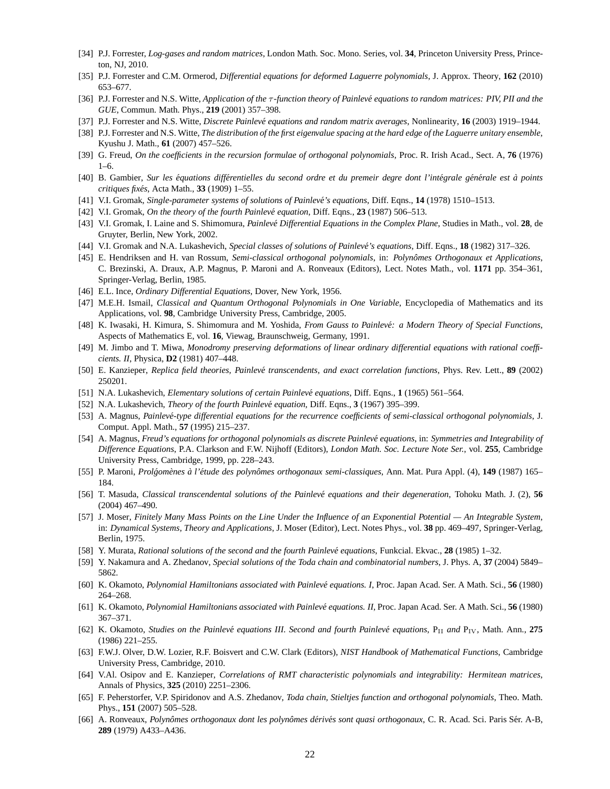- [34] P.J. Forrester, *Log-gases and random matrices*, London Math. Soc. Mono. Series, vol. **34**, Princeton University Press, Princeton, NJ, 2010.
- [35] P.J. Forrester and C.M. Ormerod, *Differential equations for deformed Laguerre polynomials*, J. Approx. Theory, **162** (2010) 653–677.
- [36] P.J. Forrester and N.S. Witte, *Application of the* τ *-function theory of Painlev´e equations to random matrices: PIV, PII and the GUE*, Commun. Math. Phys., **219** (2001) 357–398.
- [37] P.J. Forrester and N.S. Witte, *Discrete Painlev´e equations and random matrix averages*, Nonlinearity, **16** (2003) 1919–1944.
- [38] P.J. Forrester and N.S. Witte, *The distribution of the first eigenvalue spacing at the hard edge of the Laguerre unitary ensemble*, Kyushu J. Math., **61** (2007) 457–526.
- [39] G. Freud, *On the coefficients in the recursion formulae of orthogonal polynomials*, Proc. R. Irish Acad., Sect. A, **76** (1976)  $1-6$ .
- [40] B. Gambier, *Sur les équations différentielles du second ordre et du premeir degre dont l'intégrale générale est à points critiques fix´es*, Acta Math., **33** (1909) 1–55.
- [41] V.I. Gromak, *Single-parameter systems of solutions of Painlevé's equations*, Diff. Eqns., **14** (1978) 1510–1513.
- [42] V.I. Gromak, *On the theory of the fourth Painlevé equation*, Diff. Eqns., **23** (1987) 506–513.
- [43] V.I. Gromak, I. Laine and S. Shimomura, *Painlev´e Differential Equations in the Complex Plane*, Studies in Math., vol. **28**, de Gruyter, Berlin, New York, 2002.
- [44] V.I. Gromak and N.A. Lukashevich, *Special classes of solutions of Painlev´e's equations*, Diff. Eqns., **18** (1982) 317–326.
- [45] E. Hendriksen and H. van Rossum, *Semi-classical orthogonal polynomials*, in: *Polynˆomes Orthogonaux et Applications*, C. Brezinski, A. Draux, A.P. Magnus, P. Maroni and A. Ronveaux (Editors), Lect. Notes Math., vol. **1171** pp. 354–361, Springer-Verlag, Berlin, 1985.
- [46] E.L. Ince, *Ordinary Differential Equations*, Dover, New York, 1956.
- [47] M.E.H. Ismail, *Classical and Quantum Orthogonal Polynomials in One Variable*, Encyclopedia of Mathematics and its Applications, vol. **98**, Cambridge University Press, Cambridge, 2005.
- [48] K. Iwasaki, H. Kimura, S. Shimomura and M. Yoshida, *From Gauss to Painlevé: a Modern Theory of Special Functions*, Aspects of Mathematics E, vol. **16**, Viewag, Braunschweig, Germany, 1991.
- [49] M. Jimbo and T. Miwa, *Monodromy preserving deformations of linear ordinary differential equations with rational coefficients. II*, Physica, **D2** (1981) 407–448.
- [50] E. Kanzieper, *Replica field theories, Painlev´e transcendents, and exact correlation functions*, Phys. Rev. Lett., **89** (2002) 250201.
- [51] N.A. Lukashevich, *Elementary solutions of certain Painlevé equations*, Diff. Eqns., **1** (1965) 561-564.
- [52] N.A. Lukashevich, *Theory of the fourth Painlevé equation*, Diff. Eqns., **3** (1967) 395–399.
- [53] A. Magnus, *Painlev´e-type differential equations for the recurrence coefficients of semi-classical orthogonal polynomials*, J. Comput. Appl. Math., **57** (1995) 215–237.
- [54] A. Magnus, *Freud's equations for orthogonal polynomials as discrete Painlev´e equations*, in: *Symmetries and Integrability of Difference Equations*, P.A. Clarkson and F.W. Nijhoff (Editors), *London Math. Soc. Lecture Note Ser.*, vol. **255**, Cambridge University Press, Cambridge, 1999, pp. 228–243.
- [55] P. Maroni, *Prol´gom`enes `a l'´etude des polynˆomes orthogonaux semi-classiques*, Ann. Mat. Pura Appl. (4), **149** (1987) 165– 184.
- [56] T. Masuda, *Classical transcendental solutions of the Painlevé equations and their degeneration, Tohoku Math. J. (2), 56* (2004) 467–490.
- [57] J. Moser, *Finitely Many Mass Points on the Line Under the Influence of an Exponential Potential An Integrable System*, in: *Dynamical Systems, Theory and Applications*, J. Moser (Editor), Lect. Notes Phys., vol. **38** pp. 469–497, Springer-Verlag, Berlin, 1975.
- [58] Y. Murata, *Rational solutions of the second and the fourth Painlevé equations, Funkcial. Ekvac., 28 (1985) 1–32.*
- [59] Y. Nakamura and A. Zhedanov, *Special solutions of the Toda chain and combinatorial numbers*, J. Phys. A, **37** (2004) 5849– 5862.
- [60] K. Okamoto, *Polynomial Hamiltonians associated with Painlevé equations. I*, Proc. Japan Acad. Ser. A Math. Sci., **56** (1980) 264–268.
- [61] K. Okamoto, *Polynomial Hamiltonians associated with Painlevé equations. II*, Proc. Japan Acad. Ser. A Math. Sci., 56 (1980) 367–371.
- [62] K. Okamoto, *Studies on the Painlevé equations III. Second and fourth Painlevé equations, P<sub>II</sub> and P<sub>IV</sub>, Math. Ann., 275* (1986) 221–255.
- [63] F.W.J. Olver, D.W. Lozier, R.F. Boisvert and C.W. Clark (Editors), *NIST Handbook of Mathematical Functions*, Cambridge University Press, Cambridge, 2010.
- [64] V.Al. Osipov and E. Kanzieper, *Correlations of RMT characteristic polynomials and integrability: Hermitean matrices*, Annals of Physics, **325** (2010) 2251–2306.
- [65] F. Peherstorfer, V.P. Spiridonov and A.S. Zhedanov, *Toda chain, Stieltjes function and orthogonal polynomials*, Theo. Math. Phys., **151** (2007) 505–528.
- [66] A. Ronveaux, *Polynômes orthogonaux dont les polynômes dérivés sont quasi orthogonaux*, C. R. Acad. Sci. Paris Sér. A-B, **289** (1979) A433–A436.